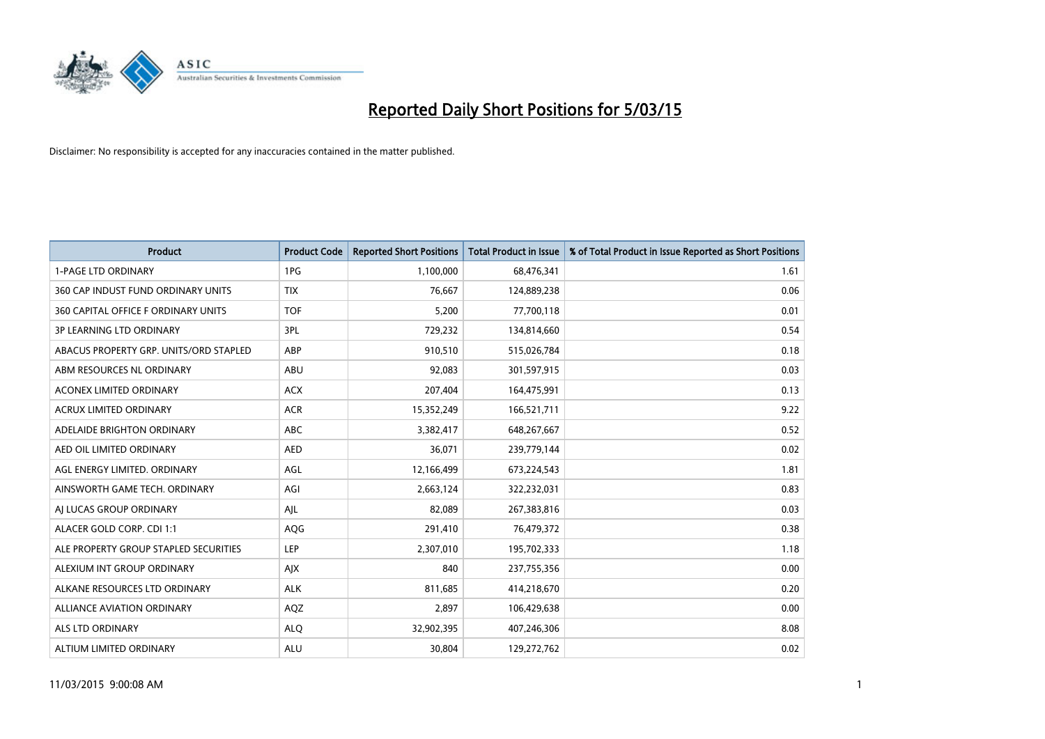

| <b>Product</b>                         | <b>Product Code</b> | <b>Reported Short Positions</b> | <b>Total Product in Issue</b> | % of Total Product in Issue Reported as Short Positions |
|----------------------------------------|---------------------|---------------------------------|-------------------------------|---------------------------------------------------------|
| <b>1-PAGE LTD ORDINARY</b>             | 1PG                 | 1,100,000                       | 68,476,341                    | 1.61                                                    |
| 360 CAP INDUST FUND ORDINARY UNITS     | <b>TIX</b>          | 76,667                          | 124,889,238                   | 0.06                                                    |
| 360 CAPITAL OFFICE F ORDINARY UNITS    | <b>TOF</b>          | 5,200                           | 77,700,118                    | 0.01                                                    |
| <b>3P LEARNING LTD ORDINARY</b>        | 3PL                 | 729,232                         | 134,814,660                   | 0.54                                                    |
| ABACUS PROPERTY GRP. UNITS/ORD STAPLED | ABP                 | 910,510                         | 515,026,784                   | 0.18                                                    |
| ABM RESOURCES NL ORDINARY              | ABU                 | 92,083                          | 301,597,915                   | 0.03                                                    |
| <b>ACONEX LIMITED ORDINARY</b>         | <b>ACX</b>          | 207,404                         | 164,475,991                   | 0.13                                                    |
| ACRUX LIMITED ORDINARY                 | <b>ACR</b>          | 15,352,249                      | 166,521,711                   | 9.22                                                    |
| ADELAIDE BRIGHTON ORDINARY             | <b>ABC</b>          | 3,382,417                       | 648,267,667                   | 0.52                                                    |
| AED OIL LIMITED ORDINARY               | <b>AED</b>          | 36,071                          | 239,779,144                   | 0.02                                                    |
| AGL ENERGY LIMITED. ORDINARY           | AGL                 | 12,166,499                      | 673,224,543                   | 1.81                                                    |
| AINSWORTH GAME TECH. ORDINARY          | AGI                 | 2,663,124                       | 322,232,031                   | 0.83                                                    |
| AI LUCAS GROUP ORDINARY                | AJL                 | 82,089                          | 267,383,816                   | 0.03                                                    |
| ALACER GOLD CORP. CDI 1:1              | AQG                 | 291,410                         | 76,479,372                    | 0.38                                                    |
| ALE PROPERTY GROUP STAPLED SECURITIES  | <b>LEP</b>          | 2,307,010                       | 195,702,333                   | 1.18                                                    |
| ALEXIUM INT GROUP ORDINARY             | AJX                 | 840                             | 237,755,356                   | 0.00                                                    |
| ALKANE RESOURCES LTD ORDINARY          | <b>ALK</b>          | 811,685                         | 414,218,670                   | 0.20                                                    |
| ALLIANCE AVIATION ORDINARY             | AQZ                 | 2,897                           | 106,429,638                   | 0.00                                                    |
| ALS LTD ORDINARY                       | <b>ALQ</b>          | 32,902,395                      | 407,246,306                   | 8.08                                                    |
| ALTIUM LIMITED ORDINARY                | <b>ALU</b>          | 30,804                          | 129,272,762                   | 0.02                                                    |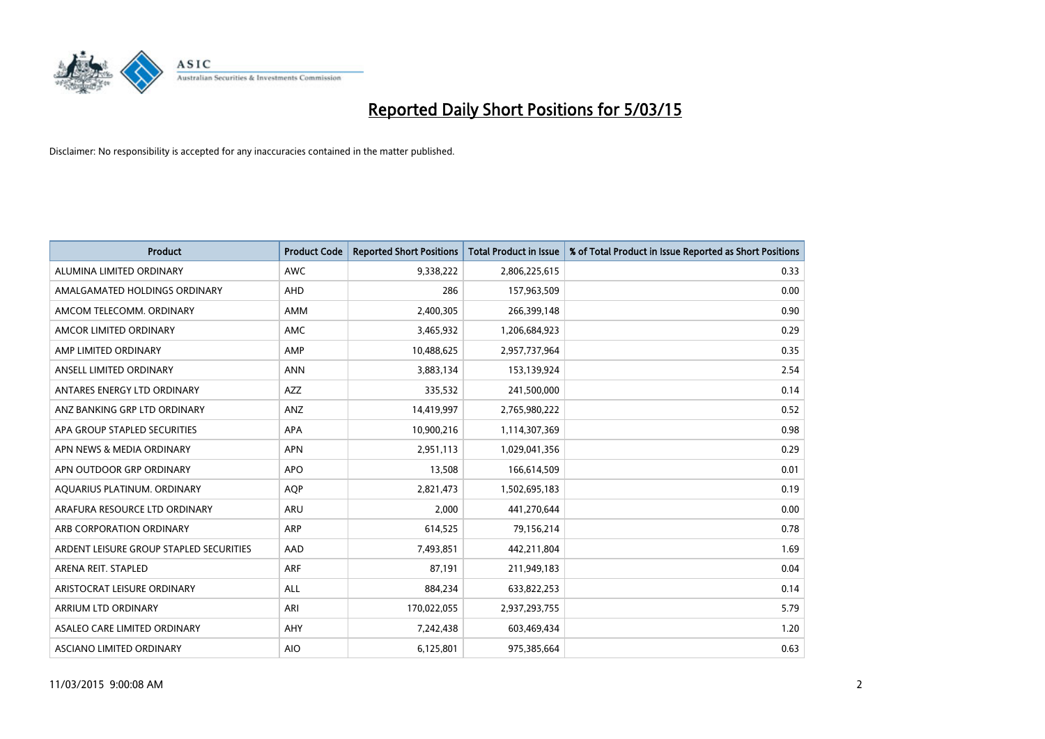

| <b>Product</b>                          | <b>Product Code</b> | <b>Reported Short Positions</b> | <b>Total Product in Issue</b> | % of Total Product in Issue Reported as Short Positions |
|-----------------------------------------|---------------------|---------------------------------|-------------------------------|---------------------------------------------------------|
| ALUMINA LIMITED ORDINARY                | <b>AWC</b>          | 9,338,222                       | 2,806,225,615                 | 0.33                                                    |
| AMALGAMATED HOLDINGS ORDINARY           | AHD                 | 286                             | 157,963,509                   | 0.00                                                    |
| AMCOM TELECOMM, ORDINARY                | AMM                 | 2,400,305                       | 266,399,148                   | 0.90                                                    |
| AMCOR LIMITED ORDINARY                  | AMC                 | 3,465,932                       | 1,206,684,923                 | 0.29                                                    |
| AMP LIMITED ORDINARY                    | AMP                 | 10,488,625                      | 2,957,737,964                 | 0.35                                                    |
| ANSELL LIMITED ORDINARY                 | <b>ANN</b>          | 3,883,134                       | 153,139,924                   | 2.54                                                    |
| ANTARES ENERGY LTD ORDINARY             | AZZ                 | 335,532                         | 241,500,000                   | 0.14                                                    |
| ANZ BANKING GRP LTD ORDINARY            | ANZ                 | 14,419,997                      | 2,765,980,222                 | 0.52                                                    |
| APA GROUP STAPLED SECURITIES            | <b>APA</b>          | 10,900,216                      | 1,114,307,369                 | 0.98                                                    |
| APN NEWS & MEDIA ORDINARY               | <b>APN</b>          | 2,951,113                       | 1,029,041,356                 | 0.29                                                    |
| APN OUTDOOR GRP ORDINARY                | <b>APO</b>          | 13,508                          | 166,614,509                   | 0.01                                                    |
| AQUARIUS PLATINUM. ORDINARY             | AQP                 | 2,821,473                       | 1,502,695,183                 | 0.19                                                    |
| ARAFURA RESOURCE LTD ORDINARY           | ARU                 | 2,000                           | 441,270,644                   | 0.00                                                    |
| ARB CORPORATION ORDINARY                | ARP                 | 614,525                         | 79,156,214                    | 0.78                                                    |
| ARDENT LEISURE GROUP STAPLED SECURITIES | AAD                 | 7,493,851                       | 442,211,804                   | 1.69                                                    |
| ARENA REIT. STAPLED                     | <b>ARF</b>          | 87,191                          | 211,949,183                   | 0.04                                                    |
| ARISTOCRAT LEISURE ORDINARY             | ALL                 | 884,234                         | 633,822,253                   | 0.14                                                    |
| ARRIUM LTD ORDINARY                     | ARI                 | 170,022,055                     | 2,937,293,755                 | 5.79                                                    |
| ASALEO CARE LIMITED ORDINARY            | AHY                 | 7,242,438                       | 603,469,434                   | 1.20                                                    |
| ASCIANO LIMITED ORDINARY                | <b>AIO</b>          | 6,125,801                       | 975,385,664                   | 0.63                                                    |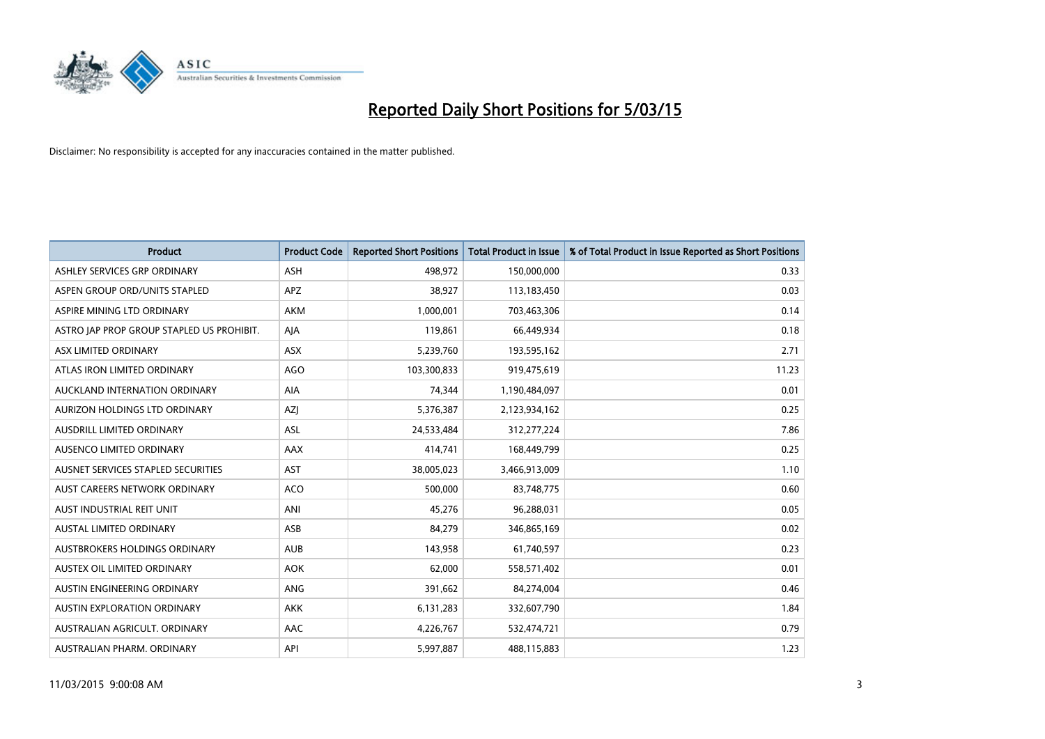

| <b>Product</b>                            | <b>Product Code</b> | <b>Reported Short Positions</b> | <b>Total Product in Issue</b> | % of Total Product in Issue Reported as Short Positions |
|-------------------------------------------|---------------------|---------------------------------|-------------------------------|---------------------------------------------------------|
| ASHLEY SERVICES GRP ORDINARY              | <b>ASH</b>          | 498,972                         | 150,000,000                   | 0.33                                                    |
| ASPEN GROUP ORD/UNITS STAPLED             | APZ                 | 38,927                          | 113,183,450                   | 0.03                                                    |
| ASPIRE MINING LTD ORDINARY                | <b>AKM</b>          | 1,000,001                       | 703,463,306                   | 0.14                                                    |
| ASTRO JAP PROP GROUP STAPLED US PROHIBIT. | AJA                 | 119,861                         | 66,449,934                    | 0.18                                                    |
| ASX LIMITED ORDINARY                      | ASX                 | 5,239,760                       | 193,595,162                   | 2.71                                                    |
| ATLAS IRON LIMITED ORDINARY               | <b>AGO</b>          | 103,300,833                     | 919,475,619                   | 11.23                                                   |
| AUCKLAND INTERNATION ORDINARY             | AIA                 | 74,344                          | 1,190,484,097                 | 0.01                                                    |
| AURIZON HOLDINGS LTD ORDINARY             | AZJ                 | 5,376,387                       | 2,123,934,162                 | 0.25                                                    |
| AUSDRILL LIMITED ORDINARY                 | <b>ASL</b>          | 24,533,484                      | 312,277,224                   | 7.86                                                    |
| AUSENCO LIMITED ORDINARY                  | AAX                 | 414,741                         | 168,449,799                   | 0.25                                                    |
| AUSNET SERVICES STAPLED SECURITIES        | <b>AST</b>          | 38,005,023                      | 3,466,913,009                 | 1.10                                                    |
| AUST CAREERS NETWORK ORDINARY             | <b>ACO</b>          | 500,000                         | 83,748,775                    | 0.60                                                    |
| AUST INDUSTRIAL REIT UNIT                 | ANI                 | 45,276                          | 96,288,031                    | 0.05                                                    |
| <b>AUSTAL LIMITED ORDINARY</b>            | ASB                 | 84,279                          | 346,865,169                   | 0.02                                                    |
| AUSTBROKERS HOLDINGS ORDINARY             | <b>AUB</b>          | 143,958                         | 61,740,597                    | 0.23                                                    |
| AUSTEX OIL LIMITED ORDINARY               | <b>AOK</b>          | 62,000                          | 558,571,402                   | 0.01                                                    |
| AUSTIN ENGINEERING ORDINARY               | ANG                 | 391,662                         | 84,274,004                    | 0.46                                                    |
| AUSTIN EXPLORATION ORDINARY               | <b>AKK</b>          | 6,131,283                       | 332,607,790                   | 1.84                                                    |
| AUSTRALIAN AGRICULT, ORDINARY             | AAC                 | 4,226,767                       | 532,474,721                   | 0.79                                                    |
| AUSTRALIAN PHARM. ORDINARY                | API                 | 5,997,887                       | 488,115,883                   | 1.23                                                    |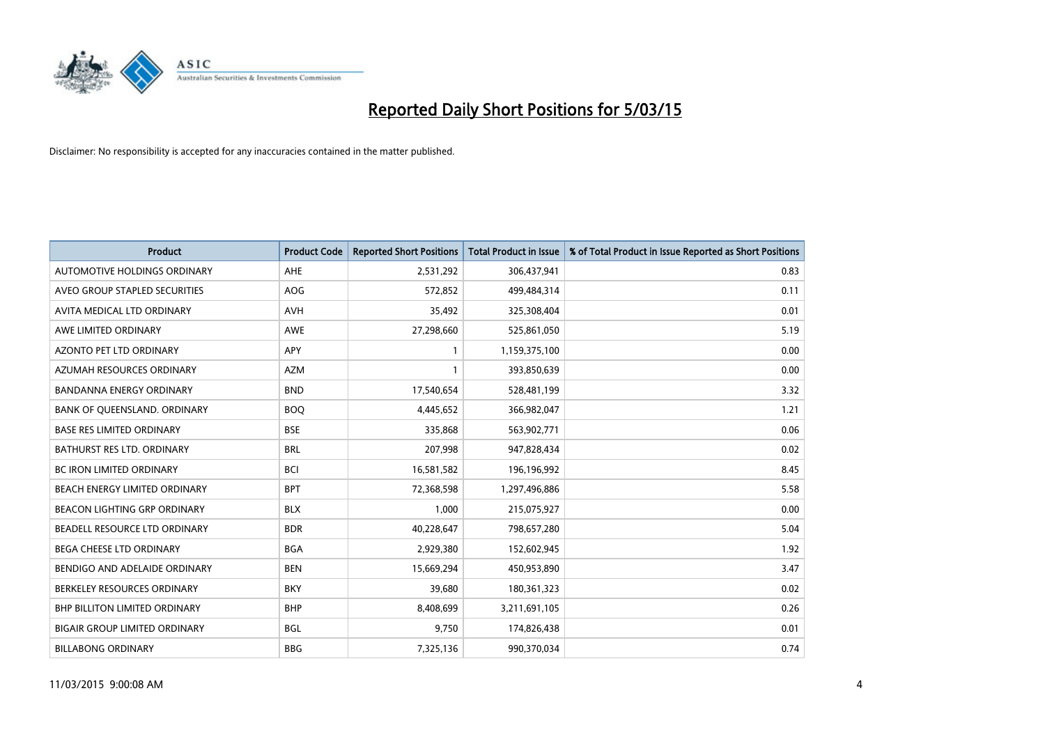

| <b>Product</b>                       | <b>Product Code</b> | <b>Reported Short Positions</b> | <b>Total Product in Issue</b> | % of Total Product in Issue Reported as Short Positions |
|--------------------------------------|---------------------|---------------------------------|-------------------------------|---------------------------------------------------------|
| AUTOMOTIVE HOLDINGS ORDINARY         | AHE                 | 2,531,292                       | 306,437,941                   | 0.83                                                    |
| AVEO GROUP STAPLED SECURITIES        | <b>AOG</b>          | 572,852                         | 499,484,314                   | 0.11                                                    |
| AVITA MEDICAL LTD ORDINARY           | <b>AVH</b>          | 35,492                          | 325,308,404                   | 0.01                                                    |
| AWE LIMITED ORDINARY                 | AWE                 | 27,298,660                      | 525,861,050                   | 5.19                                                    |
| AZONTO PET LTD ORDINARY              | <b>APY</b>          | $\mathbf{1}$                    | 1,159,375,100                 | 0.00                                                    |
| AZUMAH RESOURCES ORDINARY            | <b>AZM</b>          | $\mathbf{1}$                    | 393,850,639                   | 0.00                                                    |
| <b>BANDANNA ENERGY ORDINARY</b>      | <b>BND</b>          | 17,540,654                      | 528,481,199                   | 3.32                                                    |
| BANK OF QUEENSLAND. ORDINARY         | <b>BOQ</b>          | 4,445,652                       | 366,982,047                   | 1.21                                                    |
| <b>BASE RES LIMITED ORDINARY</b>     | <b>BSE</b>          | 335,868                         | 563,902,771                   | 0.06                                                    |
| <b>BATHURST RES LTD. ORDINARY</b>    | <b>BRL</b>          | 207,998                         | 947,828,434                   | 0.02                                                    |
| <b>BC IRON LIMITED ORDINARY</b>      | <b>BCI</b>          | 16,581,582                      | 196,196,992                   | 8.45                                                    |
| BEACH ENERGY LIMITED ORDINARY        | <b>BPT</b>          | 72,368,598                      | 1,297,496,886                 | 5.58                                                    |
| <b>BEACON LIGHTING GRP ORDINARY</b>  | <b>BLX</b>          | 1.000                           | 215,075,927                   | 0.00                                                    |
| <b>BEADELL RESOURCE LTD ORDINARY</b> | <b>BDR</b>          | 40,228,647                      | 798,657,280                   | 5.04                                                    |
| BEGA CHEESE LTD ORDINARY             | <b>BGA</b>          | 2,929,380                       | 152,602,945                   | 1.92                                                    |
| BENDIGO AND ADELAIDE ORDINARY        | <b>BEN</b>          | 15,669,294                      | 450,953,890                   | 3.47                                                    |
| BERKELEY RESOURCES ORDINARY          | <b>BKY</b>          | 39,680                          | 180,361,323                   | 0.02                                                    |
| <b>BHP BILLITON LIMITED ORDINARY</b> | <b>BHP</b>          | 8,408,699                       | 3,211,691,105                 | 0.26                                                    |
| <b>BIGAIR GROUP LIMITED ORDINARY</b> | <b>BGL</b>          | 9,750                           | 174,826,438                   | 0.01                                                    |
| <b>BILLABONG ORDINARY</b>            | <b>BBG</b>          | 7,325,136                       | 990,370,034                   | 0.74                                                    |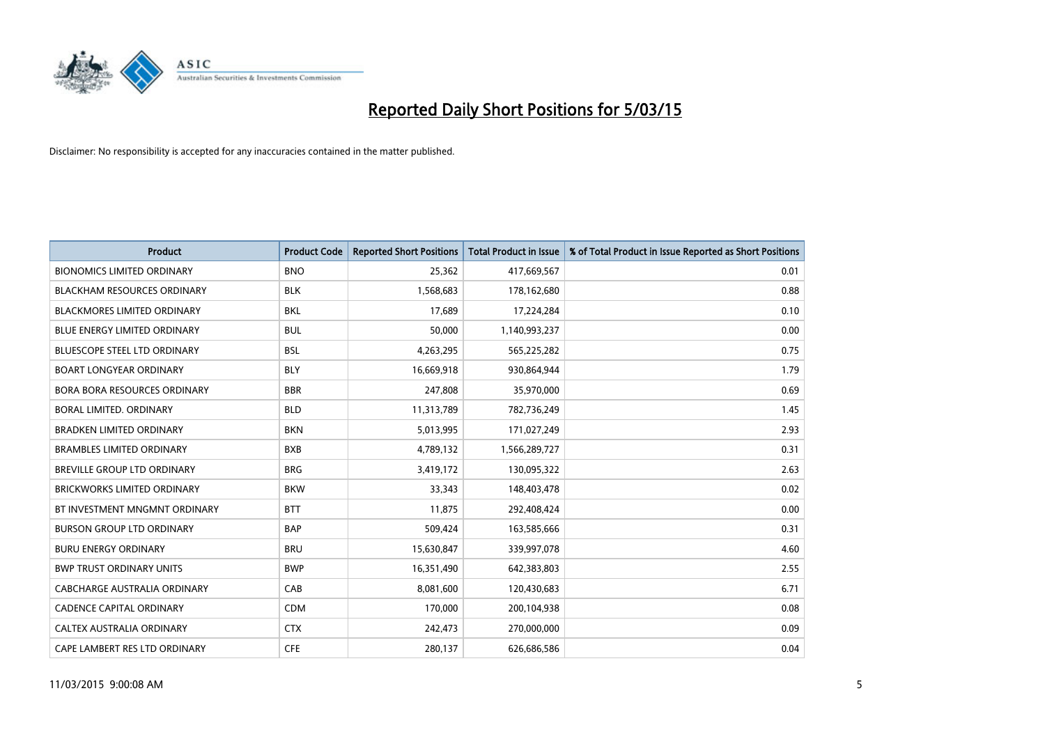

| <b>Product</b>                      | <b>Product Code</b> | <b>Reported Short Positions</b> | <b>Total Product in Issue</b> | % of Total Product in Issue Reported as Short Positions |
|-------------------------------------|---------------------|---------------------------------|-------------------------------|---------------------------------------------------------|
| <b>BIONOMICS LIMITED ORDINARY</b>   | <b>BNO</b>          | 25,362                          | 417,669,567                   | 0.01                                                    |
| <b>BLACKHAM RESOURCES ORDINARY</b>  | <b>BLK</b>          | 1,568,683                       | 178,162,680                   | 0.88                                                    |
| <b>BLACKMORES LIMITED ORDINARY</b>  | <b>BKL</b>          | 17,689                          | 17,224,284                    | 0.10                                                    |
| <b>BLUE ENERGY LIMITED ORDINARY</b> | <b>BUL</b>          | 50,000                          | 1,140,993,237                 | 0.00                                                    |
| <b>BLUESCOPE STEEL LTD ORDINARY</b> | <b>BSL</b>          | 4,263,295                       | 565,225,282                   | 0.75                                                    |
| <b>BOART LONGYEAR ORDINARY</b>      | <b>BLY</b>          | 16,669,918                      | 930,864,944                   | 1.79                                                    |
| <b>BORA BORA RESOURCES ORDINARY</b> | <b>BBR</b>          | 247,808                         | 35,970,000                    | 0.69                                                    |
| BORAL LIMITED, ORDINARY             | <b>BLD</b>          | 11,313,789                      | 782,736,249                   | 1.45                                                    |
| <b>BRADKEN LIMITED ORDINARY</b>     | <b>BKN</b>          | 5,013,995                       | 171,027,249                   | 2.93                                                    |
| <b>BRAMBLES LIMITED ORDINARY</b>    | <b>BXB</b>          | 4,789,132                       | 1,566,289,727                 | 0.31                                                    |
| BREVILLE GROUP LTD ORDINARY         | <b>BRG</b>          | 3,419,172                       | 130,095,322                   | 2.63                                                    |
| <b>BRICKWORKS LIMITED ORDINARY</b>  | <b>BKW</b>          | 33,343                          | 148,403,478                   | 0.02                                                    |
| BT INVESTMENT MNGMNT ORDINARY       | <b>BTT</b>          | 11,875                          | 292,408,424                   | 0.00                                                    |
| <b>BURSON GROUP LTD ORDINARY</b>    | <b>BAP</b>          | 509,424                         | 163,585,666                   | 0.31                                                    |
| <b>BURU ENERGY ORDINARY</b>         | <b>BRU</b>          | 15,630,847                      | 339,997,078                   | 4.60                                                    |
| <b>BWP TRUST ORDINARY UNITS</b>     | <b>BWP</b>          | 16,351,490                      | 642,383,803                   | 2.55                                                    |
| CABCHARGE AUSTRALIA ORDINARY        | CAB                 | 8,081,600                       | 120,430,683                   | 6.71                                                    |
| CADENCE CAPITAL ORDINARY            | <b>CDM</b>          | 170,000                         | 200,104,938                   | 0.08                                                    |
| CALTEX AUSTRALIA ORDINARY           | <b>CTX</b>          | 242,473                         | 270,000,000                   | 0.09                                                    |
| CAPE LAMBERT RES LTD ORDINARY       | <b>CFE</b>          | 280,137                         | 626,686,586                   | 0.04                                                    |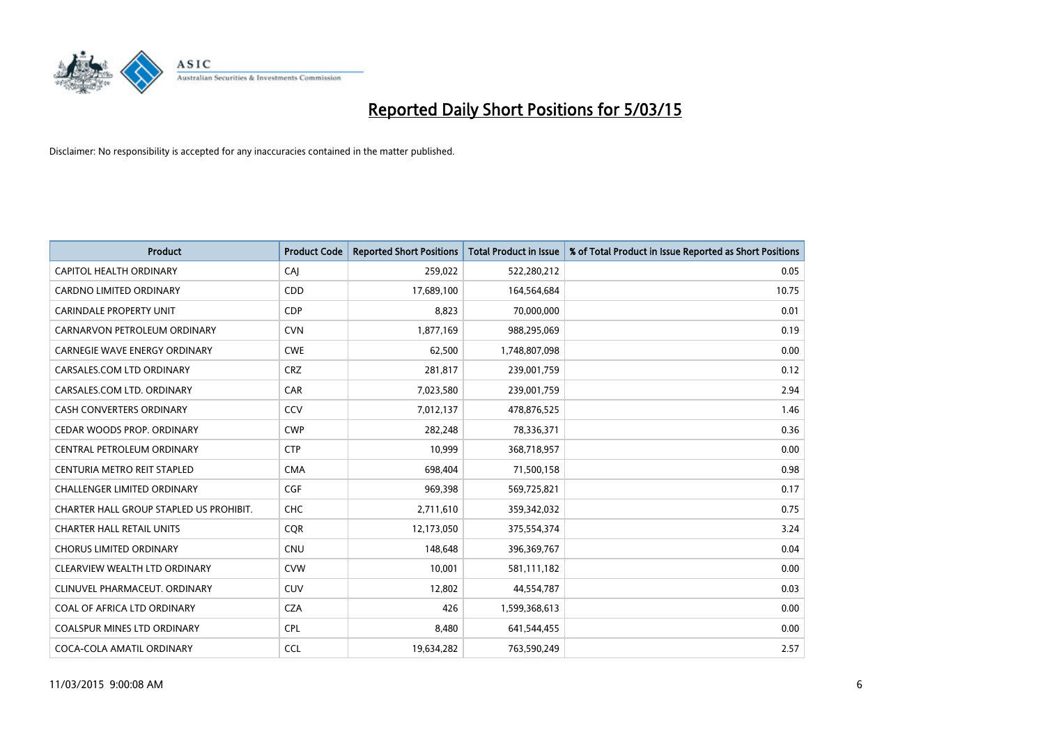

| <b>Product</b>                          | <b>Product Code</b> | <b>Reported Short Positions</b> | <b>Total Product in Issue</b> | % of Total Product in Issue Reported as Short Positions |
|-----------------------------------------|---------------------|---------------------------------|-------------------------------|---------------------------------------------------------|
| CAPITOL HEALTH ORDINARY                 | CAJ                 | 259,022                         | 522,280,212                   | 0.05                                                    |
| CARDNO LIMITED ORDINARY                 | <b>CDD</b>          | 17,689,100                      | 164,564,684                   | 10.75                                                   |
| <b>CARINDALE PROPERTY UNIT</b>          | <b>CDP</b>          | 8,823                           | 70,000,000                    | 0.01                                                    |
| CARNARVON PETROLEUM ORDINARY            | <b>CVN</b>          | 1,877,169                       | 988,295,069                   | 0.19                                                    |
| <b>CARNEGIE WAVE ENERGY ORDINARY</b>    | <b>CWE</b>          | 62,500                          | 1,748,807,098                 | 0.00                                                    |
| CARSALES.COM LTD ORDINARY               | <b>CRZ</b>          | 281,817                         | 239,001,759                   | 0.12                                                    |
| CARSALES.COM LTD. ORDINARY              | <b>CAR</b>          | 7,023,580                       | 239,001,759                   | 2.94                                                    |
| CASH CONVERTERS ORDINARY                | CCV                 | 7,012,137                       | 478,876,525                   | 1.46                                                    |
| CEDAR WOODS PROP. ORDINARY              | <b>CWP</b>          | 282,248                         | 78,336,371                    | 0.36                                                    |
| CENTRAL PETROLEUM ORDINARY              | <b>CTP</b>          | 10,999                          | 368,718,957                   | 0.00                                                    |
| CENTURIA METRO REIT STAPLED             | <b>CMA</b>          | 698,404                         | 71,500,158                    | 0.98                                                    |
| <b>CHALLENGER LIMITED ORDINARY</b>      | <b>CGF</b>          | 969,398                         | 569,725,821                   | 0.17                                                    |
| CHARTER HALL GROUP STAPLED US PROHIBIT. | <b>CHC</b>          | 2,711,610                       | 359,342,032                   | 0.75                                                    |
| <b>CHARTER HALL RETAIL UNITS</b>        | <b>COR</b>          | 12,173,050                      | 375,554,374                   | 3.24                                                    |
| <b>CHORUS LIMITED ORDINARY</b>          | <b>CNU</b>          | 148,648                         | 396,369,767                   | 0.04                                                    |
| CLEARVIEW WEALTH LTD ORDINARY           | <b>CVW</b>          | 10,001                          | 581,111,182                   | 0.00                                                    |
| CLINUVEL PHARMACEUT. ORDINARY           | <b>CUV</b>          | 12,802                          | 44,554,787                    | 0.03                                                    |
| COAL OF AFRICA LTD ORDINARY             | <b>CZA</b>          | 426                             | 1,599,368,613                 | 0.00                                                    |
| <b>COALSPUR MINES LTD ORDINARY</b>      | <b>CPL</b>          | 8,480                           | 641,544,455                   | 0.00                                                    |
| COCA-COLA AMATIL ORDINARY               | <b>CCL</b>          | 19,634,282                      | 763,590,249                   | 2.57                                                    |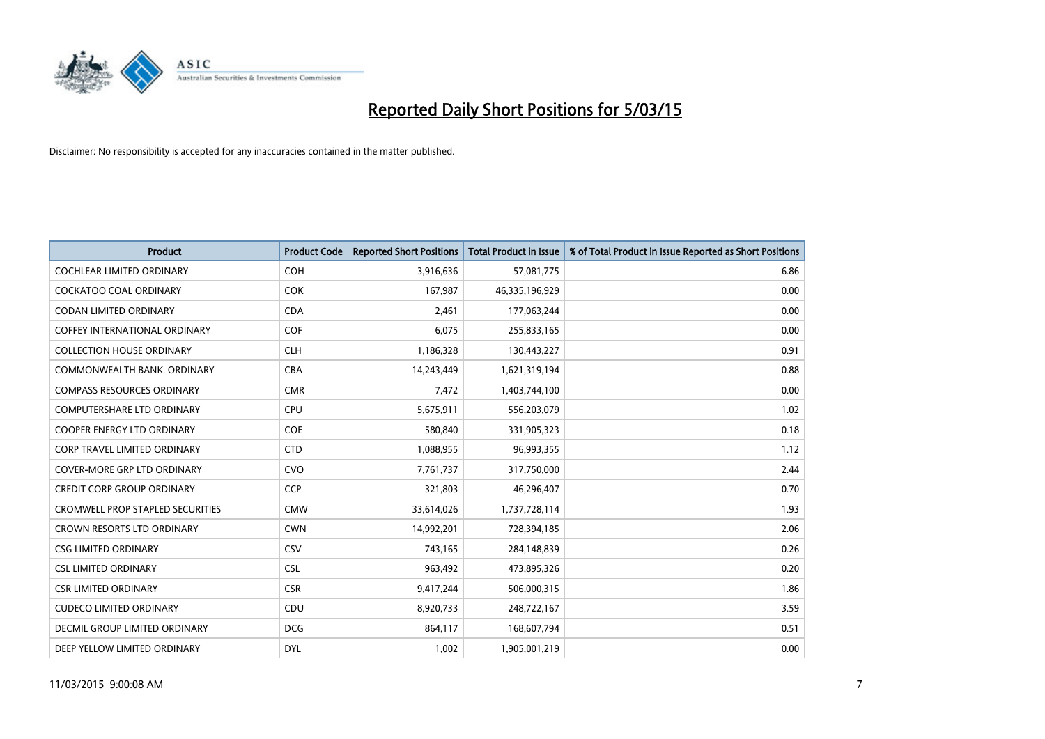

| <b>Product</b>                          | <b>Product Code</b> | <b>Reported Short Positions</b> | <b>Total Product in Issue</b> | % of Total Product in Issue Reported as Short Positions |
|-----------------------------------------|---------------------|---------------------------------|-------------------------------|---------------------------------------------------------|
| <b>COCHLEAR LIMITED ORDINARY</b>        | <b>COH</b>          | 3,916,636                       | 57,081,775                    | 6.86                                                    |
| <b>COCKATOO COAL ORDINARY</b>           | <b>COK</b>          | 167,987                         | 46,335,196,929                | 0.00                                                    |
| <b>CODAN LIMITED ORDINARY</b>           | <b>CDA</b>          | 2,461                           | 177,063,244                   | 0.00                                                    |
| <b>COFFEY INTERNATIONAL ORDINARY</b>    | <b>COF</b>          | 6,075                           | 255,833,165                   | 0.00                                                    |
| <b>COLLECTION HOUSE ORDINARY</b>        | <b>CLH</b>          | 1,186,328                       | 130,443,227                   | 0.91                                                    |
| COMMONWEALTH BANK, ORDINARY             | <b>CBA</b>          | 14,243,449                      | 1,621,319,194                 | 0.88                                                    |
| <b>COMPASS RESOURCES ORDINARY</b>       | <b>CMR</b>          | 7,472                           | 1,403,744,100                 | 0.00                                                    |
| COMPUTERSHARE LTD ORDINARY              | <b>CPU</b>          | 5,675,911                       | 556,203,079                   | 1.02                                                    |
| <b>COOPER ENERGY LTD ORDINARY</b>       | <b>COE</b>          | 580,840                         | 331,905,323                   | 0.18                                                    |
| <b>CORP TRAVEL LIMITED ORDINARY</b>     | <b>CTD</b>          | 1,088,955                       | 96,993,355                    | 1.12                                                    |
| COVER-MORE GRP LTD ORDINARY             | <b>CVO</b>          | 7,761,737                       | 317,750,000                   | 2.44                                                    |
| <b>CREDIT CORP GROUP ORDINARY</b>       | <b>CCP</b>          | 321,803                         | 46,296,407                    | 0.70                                                    |
| <b>CROMWELL PROP STAPLED SECURITIES</b> | <b>CMW</b>          | 33,614,026                      | 1,737,728,114                 | 1.93                                                    |
| <b>CROWN RESORTS LTD ORDINARY</b>       | <b>CWN</b>          | 14,992,201                      | 728,394,185                   | 2.06                                                    |
| <b>CSG LIMITED ORDINARY</b>             | CSV                 | 743,165                         | 284,148,839                   | 0.26                                                    |
| <b>CSL LIMITED ORDINARY</b>             | <b>CSL</b>          | 963,492                         | 473,895,326                   | 0.20                                                    |
| <b>CSR LIMITED ORDINARY</b>             | <b>CSR</b>          | 9,417,244                       | 506,000,315                   | 1.86                                                    |
| <b>CUDECO LIMITED ORDINARY</b>          | <b>CDU</b>          | 8,920,733                       | 248,722,167                   | 3.59                                                    |
| DECMIL GROUP LIMITED ORDINARY           | <b>DCG</b>          | 864,117                         | 168,607,794                   | 0.51                                                    |
| DEEP YELLOW LIMITED ORDINARY            | <b>DYL</b>          | 1,002                           | 1,905,001,219                 | 0.00                                                    |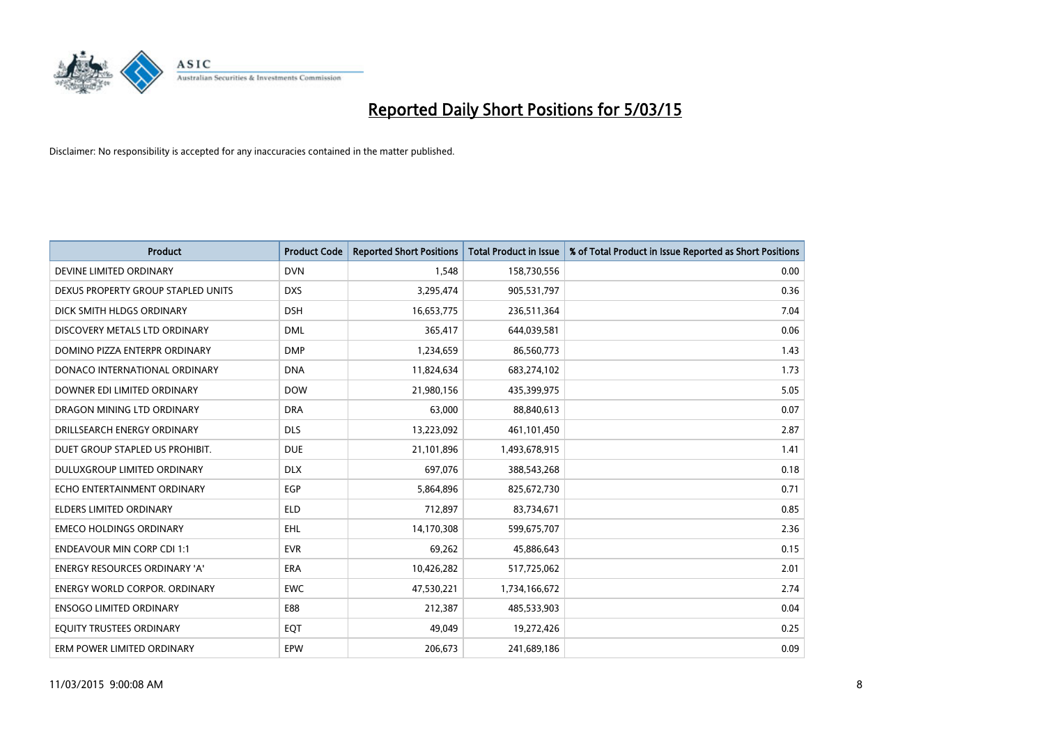

| <b>Product</b>                     | <b>Product Code</b> | <b>Reported Short Positions</b> | <b>Total Product in Issue</b> | % of Total Product in Issue Reported as Short Positions |
|------------------------------------|---------------------|---------------------------------|-------------------------------|---------------------------------------------------------|
| DEVINE LIMITED ORDINARY            | <b>DVN</b>          | 1,548                           | 158,730,556                   | 0.00                                                    |
| DEXUS PROPERTY GROUP STAPLED UNITS | <b>DXS</b>          | 3,295,474                       | 905,531,797                   | 0.36                                                    |
| DICK SMITH HLDGS ORDINARY          | <b>DSH</b>          | 16,653,775                      | 236,511,364                   | 7.04                                                    |
| DISCOVERY METALS LTD ORDINARY      | <b>DML</b>          | 365,417                         | 644,039,581                   | 0.06                                                    |
| DOMINO PIZZA ENTERPR ORDINARY      | <b>DMP</b>          | 1,234,659                       | 86,560,773                    | 1.43                                                    |
| DONACO INTERNATIONAL ORDINARY      | <b>DNA</b>          | 11,824,634                      | 683,274,102                   | 1.73                                                    |
| DOWNER EDI LIMITED ORDINARY        | <b>DOW</b>          | 21,980,156                      | 435,399,975                   | 5.05                                                    |
| DRAGON MINING LTD ORDINARY         | <b>DRA</b>          | 63,000                          | 88,840,613                    | 0.07                                                    |
| DRILLSEARCH ENERGY ORDINARY        | <b>DLS</b>          | 13,223,092                      | 461,101,450                   | 2.87                                                    |
| DUET GROUP STAPLED US PROHIBIT.    | <b>DUE</b>          | 21,101,896                      | 1,493,678,915                 | 1.41                                                    |
| DULUXGROUP LIMITED ORDINARY        | <b>DLX</b>          | 697,076                         | 388,543,268                   | 0.18                                                    |
| ECHO ENTERTAINMENT ORDINARY        | <b>EGP</b>          | 5,864,896                       | 825,672,730                   | 0.71                                                    |
| <b>ELDERS LIMITED ORDINARY</b>     | <b>ELD</b>          | 712,897                         | 83,734,671                    | 0.85                                                    |
| <b>EMECO HOLDINGS ORDINARY</b>     | <b>EHL</b>          | 14,170,308                      | 599,675,707                   | 2.36                                                    |
| <b>ENDEAVOUR MIN CORP CDI 1:1</b>  | <b>EVR</b>          | 69,262                          | 45,886,643                    | 0.15                                                    |
| ENERGY RESOURCES ORDINARY 'A'      | ERA                 | 10,426,282                      | 517,725,062                   | 2.01                                                    |
| ENERGY WORLD CORPOR. ORDINARY      | <b>EWC</b>          | 47,530,221                      | 1,734,166,672                 | 2.74                                                    |
| <b>ENSOGO LIMITED ORDINARY</b>     | E88                 | 212,387                         | 485,533,903                   | 0.04                                                    |
| EQUITY TRUSTEES ORDINARY           | EQT                 | 49,049                          | 19,272,426                    | 0.25                                                    |
| ERM POWER LIMITED ORDINARY         | EPW                 | 206,673                         | 241,689,186                   | 0.09                                                    |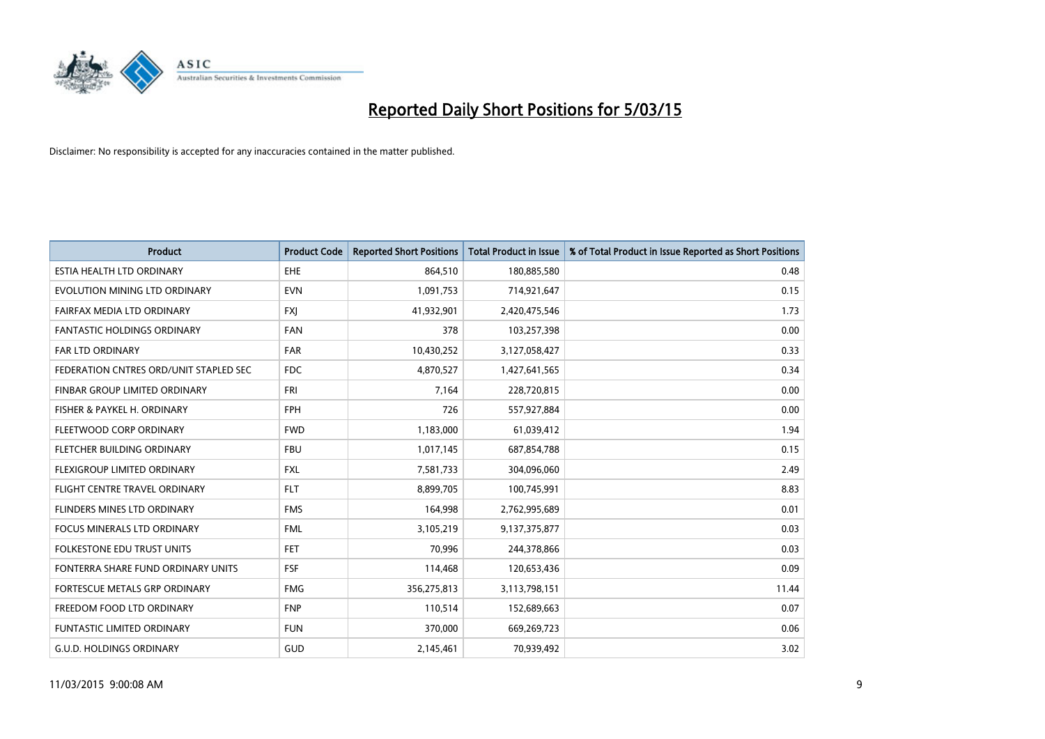

| <b>Product</b>                         | <b>Product Code</b> | <b>Reported Short Positions</b> | <b>Total Product in Issue</b> | % of Total Product in Issue Reported as Short Positions |
|----------------------------------------|---------------------|---------------------------------|-------------------------------|---------------------------------------------------------|
| ESTIA HEALTH LTD ORDINARY              | EHE                 | 864,510                         | 180,885,580                   | 0.48                                                    |
| EVOLUTION MINING LTD ORDINARY          | <b>EVN</b>          | 1,091,753                       | 714,921,647                   | 0.15                                                    |
| FAIRFAX MEDIA LTD ORDINARY             | <b>FXI</b>          | 41,932,901                      | 2,420,475,546                 | 1.73                                                    |
| <b>FANTASTIC HOLDINGS ORDINARY</b>     | <b>FAN</b>          | 378                             | 103,257,398                   | 0.00                                                    |
| <b>FAR LTD ORDINARY</b>                | <b>FAR</b>          | 10,430,252                      | 3,127,058,427                 | 0.33                                                    |
| FEDERATION CNTRES ORD/UNIT STAPLED SEC | FDC                 | 4,870,527                       | 1,427,641,565                 | 0.34                                                    |
| FINBAR GROUP LIMITED ORDINARY          | <b>FRI</b>          | 7,164                           | 228,720,815                   | 0.00                                                    |
| FISHER & PAYKEL H. ORDINARY            | <b>FPH</b>          | 726                             | 557,927,884                   | 0.00                                                    |
| FLEETWOOD CORP ORDINARY                | <b>FWD</b>          | 1,183,000                       | 61,039,412                    | 1.94                                                    |
| FLETCHER BUILDING ORDINARY             | <b>FBU</b>          | 1,017,145                       | 687,854,788                   | 0.15                                                    |
| FLEXIGROUP LIMITED ORDINARY            | <b>FXL</b>          | 7,581,733                       | 304,096,060                   | 2.49                                                    |
| FLIGHT CENTRE TRAVEL ORDINARY          | <b>FLT</b>          | 8,899,705                       | 100,745,991                   | 8.83                                                    |
| FLINDERS MINES LTD ORDINARY            | <b>FMS</b>          | 164,998                         | 2,762,995,689                 | 0.01                                                    |
| <b>FOCUS MINERALS LTD ORDINARY</b>     | <b>FML</b>          | 3,105,219                       | 9,137,375,877                 | 0.03                                                    |
| <b>FOLKESTONE EDU TRUST UNITS</b>      | FET                 | 70,996                          | 244,378,866                   | 0.03                                                    |
| FONTERRA SHARE FUND ORDINARY UNITS     | <b>FSF</b>          | 114,468                         | 120,653,436                   | 0.09                                                    |
| FORTESCUE METALS GRP ORDINARY          | <b>FMG</b>          | 356,275,813                     | 3,113,798,151                 | 11.44                                                   |
| FREEDOM FOOD LTD ORDINARY              | <b>FNP</b>          | 110,514                         | 152,689,663                   | 0.07                                                    |
| <b>FUNTASTIC LIMITED ORDINARY</b>      | <b>FUN</b>          | 370,000                         | 669,269,723                   | 0.06                                                    |
| <b>G.U.D. HOLDINGS ORDINARY</b>        | GUD                 | 2,145,461                       | 70,939,492                    | 3.02                                                    |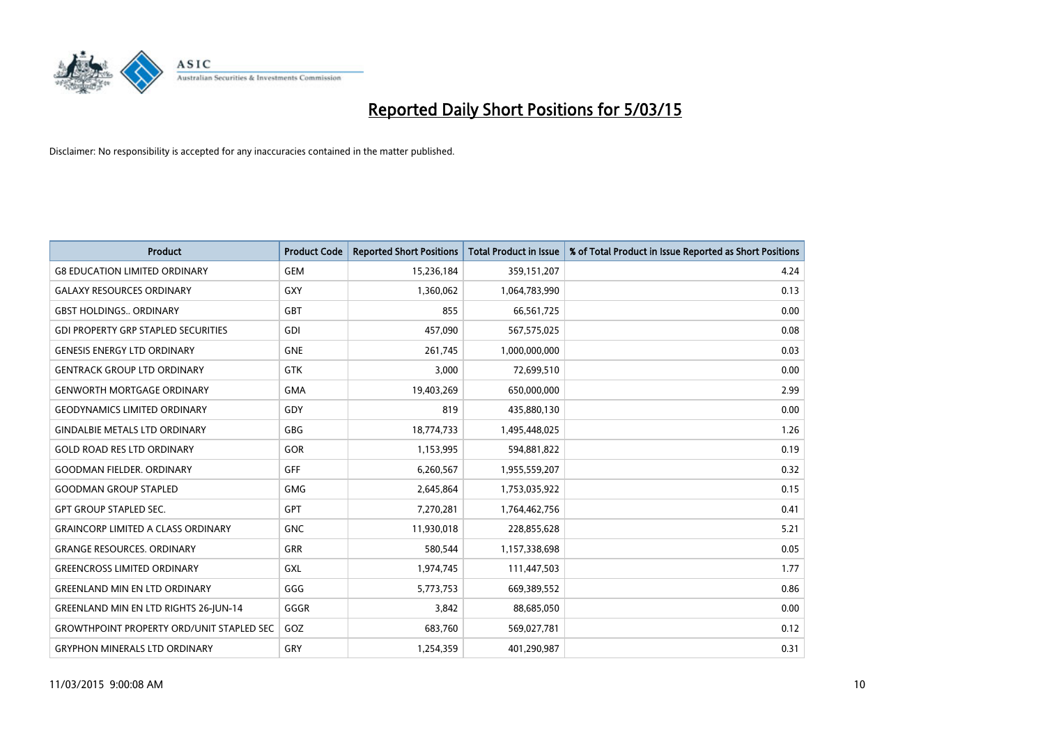

| <b>Product</b>                                   | <b>Product Code</b> | <b>Reported Short Positions</b> | <b>Total Product in Issue</b> | % of Total Product in Issue Reported as Short Positions |
|--------------------------------------------------|---------------------|---------------------------------|-------------------------------|---------------------------------------------------------|
| <b>G8 EDUCATION LIMITED ORDINARY</b>             | <b>GEM</b>          | 15,236,184                      | 359,151,207                   | 4.24                                                    |
| <b>GALAXY RESOURCES ORDINARY</b>                 | <b>GXY</b>          | 1,360,062                       | 1,064,783,990                 | 0.13                                                    |
| <b>GBST HOLDINGS ORDINARY</b>                    | <b>GBT</b>          | 855                             | 66,561,725                    | 0.00                                                    |
| <b>GDI PROPERTY GRP STAPLED SECURITIES</b>       | <b>GDI</b>          | 457,090                         | 567,575,025                   | 0.08                                                    |
| <b>GENESIS ENERGY LTD ORDINARY</b>               | <b>GNE</b>          | 261,745                         | 1,000,000,000                 | 0.03                                                    |
| <b>GENTRACK GROUP LTD ORDINARY</b>               | <b>GTK</b>          | 3,000                           | 72,699,510                    | 0.00                                                    |
| <b>GENWORTH MORTGAGE ORDINARY</b>                | <b>GMA</b>          | 19,403,269                      | 650,000,000                   | 2.99                                                    |
| <b>GEODYNAMICS LIMITED ORDINARY</b>              | GDY                 | 819                             | 435,880,130                   | 0.00                                                    |
| <b>GINDALBIE METALS LTD ORDINARY</b>             | GBG                 | 18,774,733                      | 1,495,448,025                 | 1.26                                                    |
| <b>GOLD ROAD RES LTD ORDINARY</b>                | <b>GOR</b>          | 1,153,995                       | 594,881,822                   | 0.19                                                    |
| <b>GOODMAN FIELDER, ORDINARY</b>                 | <b>GFF</b>          | 6,260,567                       | 1,955,559,207                 | 0.32                                                    |
| <b>GOODMAN GROUP STAPLED</b>                     | <b>GMG</b>          | 2,645,864                       | 1,753,035,922                 | 0.15                                                    |
| <b>GPT GROUP STAPLED SEC.</b>                    | <b>GPT</b>          | 7,270,281                       | 1,764,462,756                 | 0.41                                                    |
| <b>GRAINCORP LIMITED A CLASS ORDINARY</b>        | <b>GNC</b>          | 11,930,018                      | 228,855,628                   | 5.21                                                    |
| <b>GRANGE RESOURCES, ORDINARY</b>                | <b>GRR</b>          | 580,544                         | 1,157,338,698                 | 0.05                                                    |
| <b>GREENCROSS LIMITED ORDINARY</b>               | GXL                 | 1,974,745                       | 111,447,503                   | 1.77                                                    |
| <b>GREENLAND MIN EN LTD ORDINARY</b>             | GGG                 | 5,773,753                       | 669,389,552                   | 0.86                                                    |
| GREENLAND MIN EN LTD RIGHTS 26-JUN-14            | GGGR                | 3,842                           | 88,685,050                    | 0.00                                                    |
| <b>GROWTHPOINT PROPERTY ORD/UNIT STAPLED SEC</b> | GOZ                 | 683,760                         | 569,027,781                   | 0.12                                                    |
| <b>GRYPHON MINERALS LTD ORDINARY</b>             | GRY                 | 1,254,359                       | 401,290,987                   | 0.31                                                    |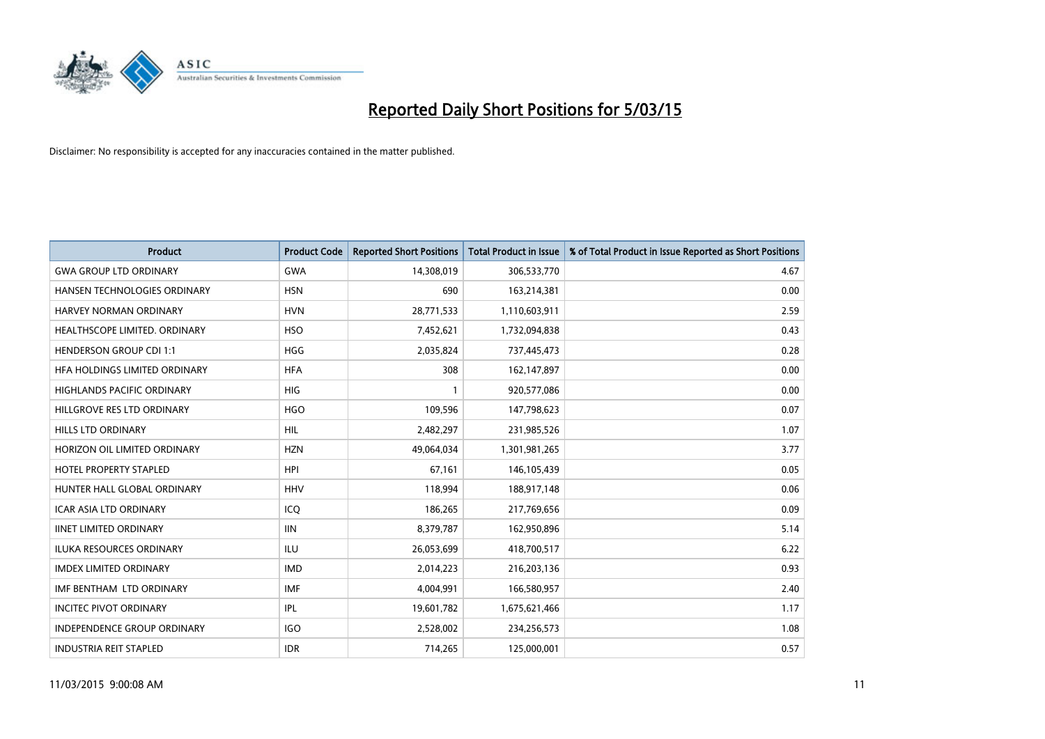

| <b>Product</b>                     | <b>Product Code</b> | <b>Reported Short Positions</b> | <b>Total Product in Issue</b> | % of Total Product in Issue Reported as Short Positions |
|------------------------------------|---------------------|---------------------------------|-------------------------------|---------------------------------------------------------|
| <b>GWA GROUP LTD ORDINARY</b>      | <b>GWA</b>          | 14,308,019                      | 306,533,770                   | 4.67                                                    |
| HANSEN TECHNOLOGIES ORDINARY       | <b>HSN</b>          | 690                             | 163,214,381                   | 0.00                                                    |
| HARVEY NORMAN ORDINARY             | <b>HVN</b>          | 28,771,533                      | 1,110,603,911                 | 2.59                                                    |
| HEALTHSCOPE LIMITED. ORDINARY      | <b>HSO</b>          | 7,452,621                       | 1,732,094,838                 | 0.43                                                    |
| <b>HENDERSON GROUP CDI 1:1</b>     | HGG                 | 2,035,824                       | 737,445,473                   | 0.28                                                    |
| HFA HOLDINGS LIMITED ORDINARY      | <b>HFA</b>          | 308                             | 162,147,897                   | 0.00                                                    |
| <b>HIGHLANDS PACIFIC ORDINARY</b>  | <b>HIG</b>          |                                 | 920,577,086                   | 0.00                                                    |
| HILLGROVE RES LTD ORDINARY         | <b>HGO</b>          | 109,596                         | 147,798,623                   | 0.07                                                    |
| <b>HILLS LTD ORDINARY</b>          | <b>HIL</b>          | 2,482,297                       | 231,985,526                   | 1.07                                                    |
| HORIZON OIL LIMITED ORDINARY       | <b>HZN</b>          | 49,064,034                      | 1,301,981,265                 | 3.77                                                    |
| HOTEL PROPERTY STAPLED             | <b>HPI</b>          | 67,161                          | 146,105,439                   | 0.05                                                    |
| HUNTER HALL GLOBAL ORDINARY        | <b>HHV</b>          | 118,994                         | 188,917,148                   | 0.06                                                    |
| <b>ICAR ASIA LTD ORDINARY</b>      | ICO                 | 186,265                         | 217,769,656                   | 0.09                                                    |
| <b>IINET LIMITED ORDINARY</b>      | <b>IIN</b>          | 8,379,787                       | 162,950,896                   | 5.14                                                    |
| <b>ILUKA RESOURCES ORDINARY</b>    | ILU                 | 26,053,699                      | 418,700,517                   | 6.22                                                    |
| <b>IMDEX LIMITED ORDINARY</b>      | <b>IMD</b>          | 2,014,223                       | 216,203,136                   | 0.93                                                    |
| IMF BENTHAM LTD ORDINARY           | IMF                 | 4,004,991                       | 166,580,957                   | 2.40                                                    |
| <b>INCITEC PIVOT ORDINARY</b>      | <b>IPL</b>          | 19,601,782                      | 1,675,621,466                 | 1.17                                                    |
| <b>INDEPENDENCE GROUP ORDINARY</b> | <b>IGO</b>          | 2,528,002                       | 234,256,573                   | 1.08                                                    |
| <b>INDUSTRIA REIT STAPLED</b>      | <b>IDR</b>          | 714,265                         | 125,000,001                   | 0.57                                                    |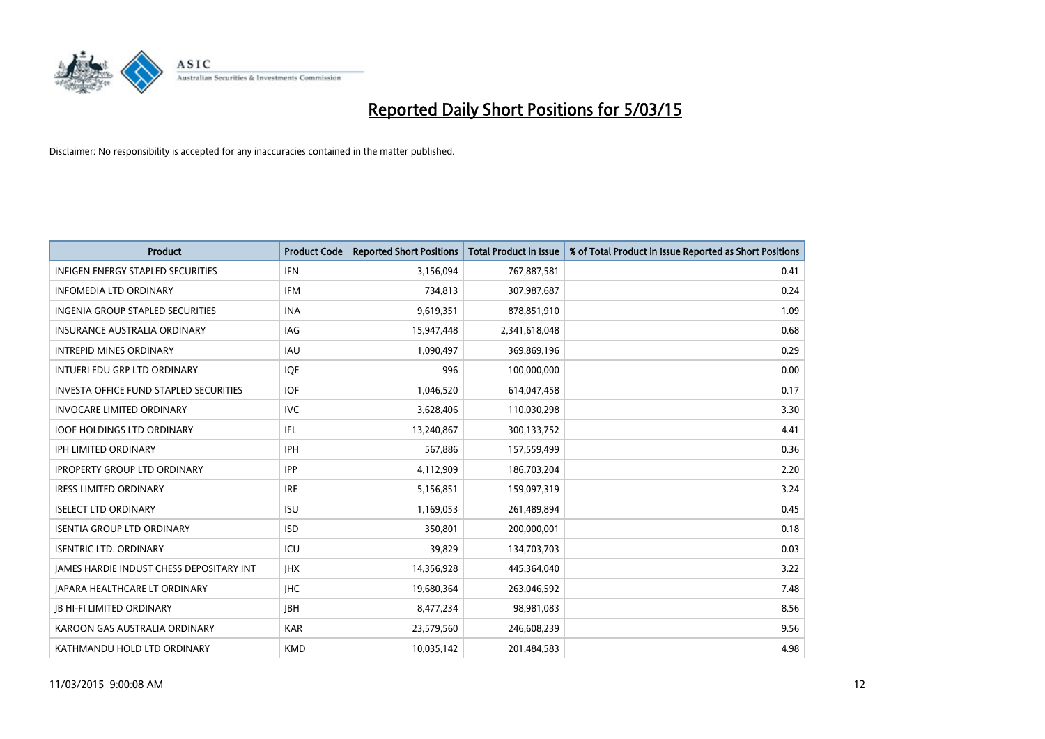

| <b>Product</b>                                | <b>Product Code</b> | <b>Reported Short Positions</b> | <b>Total Product in Issue</b> | % of Total Product in Issue Reported as Short Positions |
|-----------------------------------------------|---------------------|---------------------------------|-------------------------------|---------------------------------------------------------|
| <b>INFIGEN ENERGY STAPLED SECURITIES</b>      | <b>IFN</b>          | 3,156,094                       | 767,887,581                   | 0.41                                                    |
| <b>INFOMEDIA LTD ORDINARY</b>                 | <b>IFM</b>          | 734,813                         | 307,987,687                   | 0.24                                                    |
| <b>INGENIA GROUP STAPLED SECURITIES</b>       | <b>INA</b>          | 9,619,351                       | 878,851,910                   | 1.09                                                    |
| INSURANCE AUSTRALIA ORDINARY                  | IAG                 | 15,947,448                      | 2,341,618,048                 | 0.68                                                    |
| <b>INTREPID MINES ORDINARY</b>                | IAU                 | 1,090,497                       | 369,869,196                   | 0.29                                                    |
| INTUERI EDU GRP LTD ORDINARY                  | <b>IOE</b>          | 996                             | 100,000,000                   | 0.00                                                    |
| <b>INVESTA OFFICE FUND STAPLED SECURITIES</b> | <b>IOF</b>          | 1,046,520                       | 614,047,458                   | 0.17                                                    |
| <b>INVOCARE LIMITED ORDINARY</b>              | <b>IVC</b>          | 3,628,406                       | 110,030,298                   | 3.30                                                    |
| <b>IOOF HOLDINGS LTD ORDINARY</b>             | IFL                 | 13,240,867                      | 300,133,752                   | 4.41                                                    |
| <b>IPH LIMITED ORDINARY</b>                   | IPH                 | 567,886                         | 157,559,499                   | 0.36                                                    |
| <b>IPROPERTY GROUP LTD ORDINARY</b>           | <b>IPP</b>          | 4,112,909                       | 186,703,204                   | 2.20                                                    |
| <b>IRESS LIMITED ORDINARY</b>                 | <b>IRE</b>          | 5,156,851                       | 159,097,319                   | 3.24                                                    |
| <b>ISELECT LTD ORDINARY</b>                   | <b>ISU</b>          | 1,169,053                       | 261,489,894                   | 0.45                                                    |
| <b>ISENTIA GROUP LTD ORDINARY</b>             | <b>ISD</b>          | 350,801                         | 200,000,001                   | 0.18                                                    |
| <b>ISENTRIC LTD. ORDINARY</b>                 | ICU                 | 39,829                          | 134,703,703                   | 0.03                                                    |
| JAMES HARDIE INDUST CHESS DEPOSITARY INT      | <b>IHX</b>          | 14,356,928                      | 445,364,040                   | 3.22                                                    |
| <b>JAPARA HEALTHCARE LT ORDINARY</b>          | <b>IHC</b>          | 19,680,364                      | 263,046,592                   | 7.48                                                    |
| <b>IB HI-FI LIMITED ORDINARY</b>              | <b>JBH</b>          | 8,477,234                       | 98,981,083                    | 8.56                                                    |
| KAROON GAS AUSTRALIA ORDINARY                 | <b>KAR</b>          | 23,579,560                      | 246,608,239                   | 9.56                                                    |
| KATHMANDU HOLD LTD ORDINARY                   | <b>KMD</b>          | 10,035,142                      | 201,484,583                   | 4.98                                                    |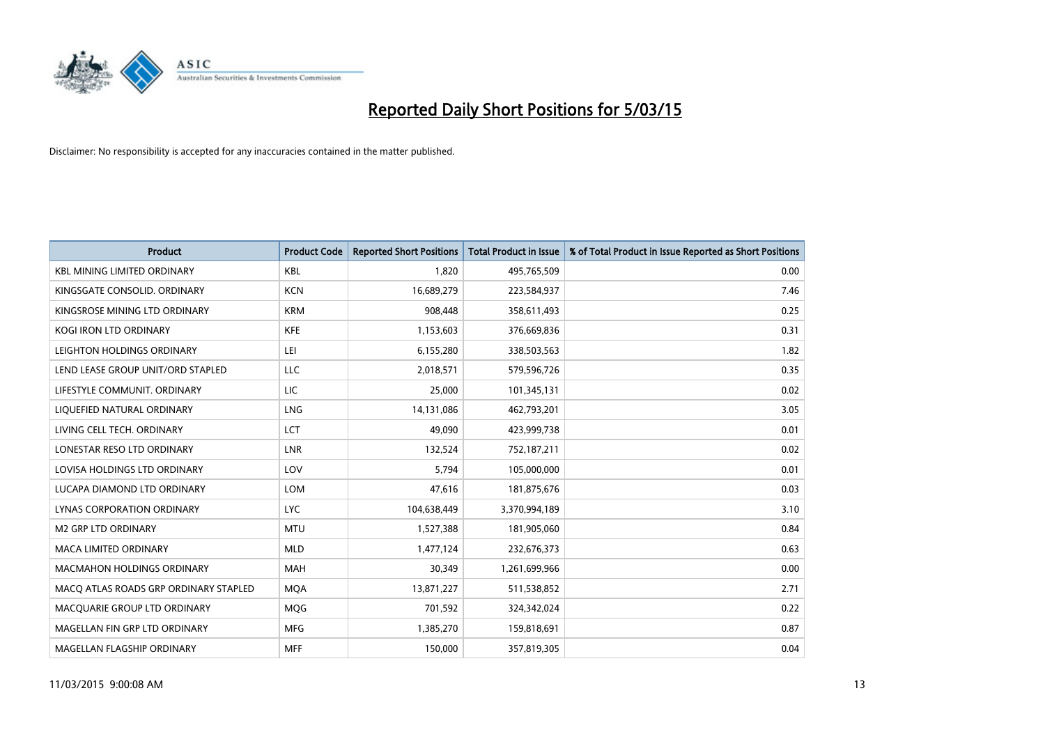

| <b>Product</b>                        | <b>Product Code</b> | <b>Reported Short Positions</b> | <b>Total Product in Issue</b> | % of Total Product in Issue Reported as Short Positions |
|---------------------------------------|---------------------|---------------------------------|-------------------------------|---------------------------------------------------------|
| <b>KBL MINING LIMITED ORDINARY</b>    | <b>KBL</b>          | 1.820                           | 495,765,509                   | 0.00                                                    |
| KINGSGATE CONSOLID. ORDINARY          | <b>KCN</b>          | 16,689,279                      | 223,584,937                   | 7.46                                                    |
| KINGSROSE MINING LTD ORDINARY         | <b>KRM</b>          | 908,448                         | 358,611,493                   | 0.25                                                    |
| KOGI IRON LTD ORDINARY                | <b>KFE</b>          | 1,153,603                       | 376,669,836                   | 0.31                                                    |
| LEIGHTON HOLDINGS ORDINARY            | LEI                 | 6,155,280                       | 338,503,563                   | 1.82                                                    |
| LEND LEASE GROUP UNIT/ORD STAPLED     | <b>LLC</b>          | 2,018,571                       | 579,596,726                   | 0.35                                                    |
| LIFESTYLE COMMUNIT, ORDINARY          | LIC                 | 25,000                          | 101,345,131                   | 0.02                                                    |
| LIQUEFIED NATURAL ORDINARY            | <b>LNG</b>          | 14,131,086                      | 462,793,201                   | 3.05                                                    |
| LIVING CELL TECH. ORDINARY            | <b>LCT</b>          | 49,090                          | 423,999,738                   | 0.01                                                    |
| LONESTAR RESO LTD ORDINARY            | <b>LNR</b>          | 132,524                         | 752,187,211                   | 0.02                                                    |
| LOVISA HOLDINGS LTD ORDINARY          | LOV                 | 5,794                           | 105,000,000                   | 0.01                                                    |
| LUCAPA DIAMOND LTD ORDINARY           | LOM                 | 47,616                          | 181,875,676                   | 0.03                                                    |
| LYNAS CORPORATION ORDINARY            | <b>LYC</b>          | 104,638,449                     | 3,370,994,189                 | 3.10                                                    |
| <b>M2 GRP LTD ORDINARY</b>            | <b>MTU</b>          | 1,527,388                       | 181,905,060                   | 0.84                                                    |
| <b>MACA LIMITED ORDINARY</b>          | <b>MLD</b>          | 1,477,124                       | 232,676,373                   | 0.63                                                    |
| MACMAHON HOLDINGS ORDINARY            | MAH                 | 30,349                          | 1,261,699,966                 | 0.00                                                    |
| MACO ATLAS ROADS GRP ORDINARY STAPLED | <b>MQA</b>          | 13,871,227                      | 511,538,852                   | 2.71                                                    |
| MACQUARIE GROUP LTD ORDINARY          | <b>MQG</b>          | 701,592                         | 324,342,024                   | 0.22                                                    |
| MAGELLAN FIN GRP LTD ORDINARY         | <b>MFG</b>          | 1,385,270                       | 159,818,691                   | 0.87                                                    |
| MAGELLAN FLAGSHIP ORDINARY            | <b>MFF</b>          | 150,000                         | 357,819,305                   | 0.04                                                    |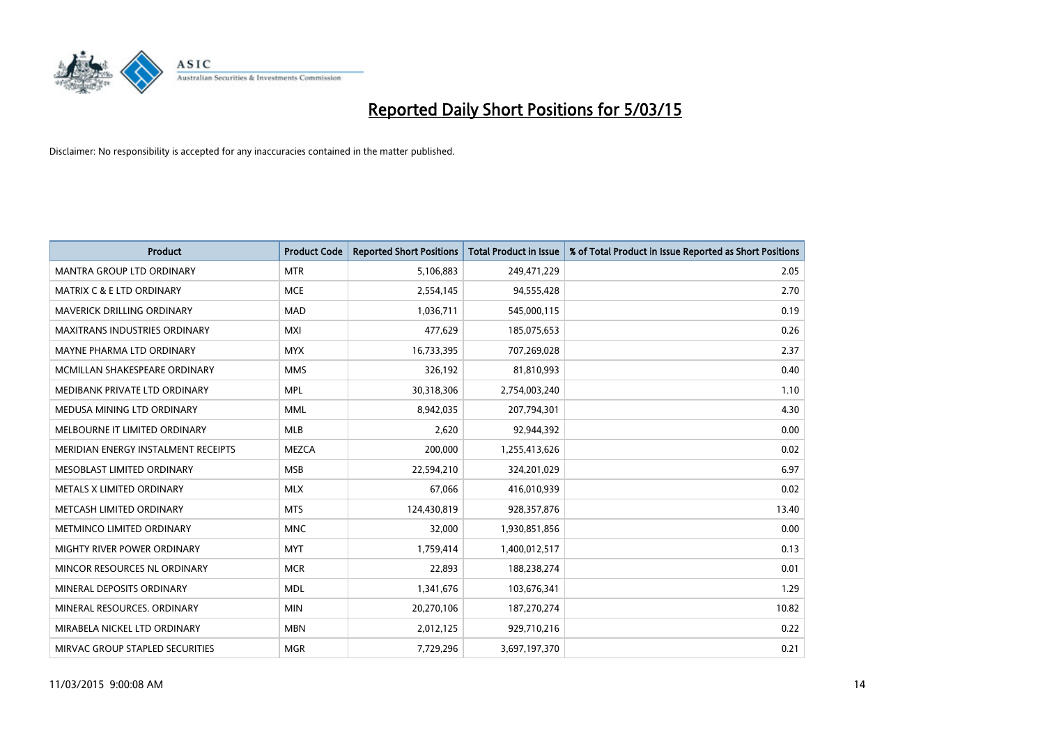

| <b>Product</b>                       | <b>Product Code</b> | <b>Reported Short Positions</b> | <b>Total Product in Issue</b> | % of Total Product in Issue Reported as Short Positions |
|--------------------------------------|---------------------|---------------------------------|-------------------------------|---------------------------------------------------------|
| <b>MANTRA GROUP LTD ORDINARY</b>     | <b>MTR</b>          | 5,106,883                       | 249,471,229                   | 2.05                                                    |
| <b>MATRIX C &amp; E LTD ORDINARY</b> | <b>MCE</b>          | 2,554,145                       | 94,555,428                    | 2.70                                                    |
| MAVERICK DRILLING ORDINARY           | <b>MAD</b>          | 1,036,711                       | 545,000,115                   | 0.19                                                    |
| <b>MAXITRANS INDUSTRIES ORDINARY</b> | <b>MXI</b>          | 477,629                         | 185,075,653                   | 0.26                                                    |
| MAYNE PHARMA LTD ORDINARY            | <b>MYX</b>          | 16,733,395                      | 707,269,028                   | 2.37                                                    |
| MCMILLAN SHAKESPEARE ORDINARY        | <b>MMS</b>          | 326,192                         | 81,810,993                    | 0.40                                                    |
| MEDIBANK PRIVATE LTD ORDINARY        | <b>MPL</b>          | 30,318,306                      | 2,754,003,240                 | 1.10                                                    |
| MEDUSA MINING LTD ORDINARY           | <b>MML</b>          | 8,942,035                       | 207,794,301                   | 4.30                                                    |
| MELBOURNE IT LIMITED ORDINARY        | <b>MLB</b>          | 2,620                           | 92,944,392                    | 0.00                                                    |
| MERIDIAN ENERGY INSTALMENT RECEIPTS  | <b>MEZCA</b>        | 200,000                         | 1,255,413,626                 | 0.02                                                    |
| MESOBLAST LIMITED ORDINARY           | <b>MSB</b>          | 22,594,210                      | 324,201,029                   | 6.97                                                    |
| METALS X LIMITED ORDINARY            | <b>MLX</b>          | 67,066                          | 416,010,939                   | 0.02                                                    |
| METCASH LIMITED ORDINARY             | <b>MTS</b>          | 124,430,819                     | 928,357,876                   | 13.40                                                   |
| METMINCO LIMITED ORDINARY            | <b>MNC</b>          | 32,000                          | 1,930,851,856                 | 0.00                                                    |
| MIGHTY RIVER POWER ORDINARY          | <b>MYT</b>          | 1,759,414                       | 1,400,012,517                 | 0.13                                                    |
| MINCOR RESOURCES NL ORDINARY         | <b>MCR</b>          | 22,893                          | 188,238,274                   | 0.01                                                    |
| MINERAL DEPOSITS ORDINARY            | <b>MDL</b>          | 1,341,676                       | 103,676,341                   | 1.29                                                    |
| MINERAL RESOURCES, ORDINARY          | <b>MIN</b>          | 20,270,106                      | 187,270,274                   | 10.82                                                   |
| MIRABELA NICKEL LTD ORDINARY         | <b>MBN</b>          | 2,012,125                       | 929,710,216                   | 0.22                                                    |
| MIRVAC GROUP STAPLED SECURITIES      | <b>MGR</b>          | 7,729,296                       | 3,697,197,370                 | 0.21                                                    |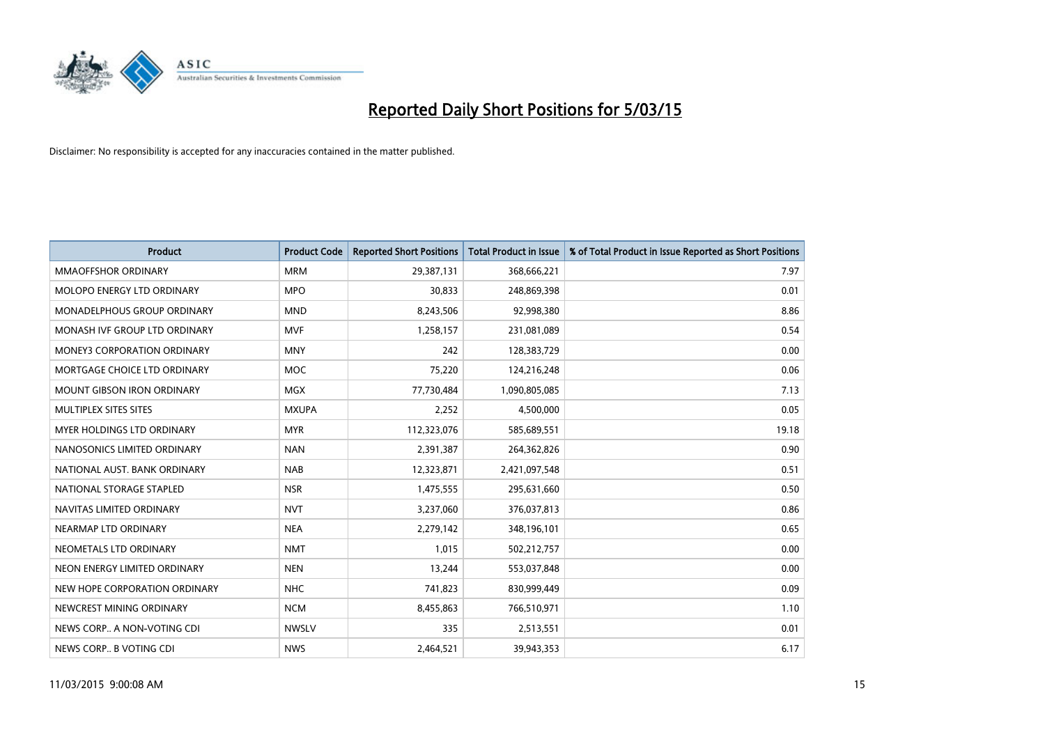

| <b>Product</b>                     | <b>Product Code</b> | <b>Reported Short Positions</b> | <b>Total Product in Issue</b> | % of Total Product in Issue Reported as Short Positions |
|------------------------------------|---------------------|---------------------------------|-------------------------------|---------------------------------------------------------|
| <b>MMAOFFSHOR ORDINARY</b>         | <b>MRM</b>          | 29,387,131                      | 368,666,221                   | 7.97                                                    |
| MOLOPO ENERGY LTD ORDINARY         | <b>MPO</b>          | 30,833                          | 248,869,398                   | 0.01                                                    |
| MONADELPHOUS GROUP ORDINARY        | <b>MND</b>          | 8,243,506                       | 92,998,380                    | 8.86                                                    |
| MONASH IVF GROUP LTD ORDINARY      | <b>MVF</b>          | 1,258,157                       | 231,081,089                   | 0.54                                                    |
| <b>MONEY3 CORPORATION ORDINARY</b> | <b>MNY</b>          | 242                             | 128,383,729                   | 0.00                                                    |
| MORTGAGE CHOICE LTD ORDINARY       | <b>MOC</b>          | 75,220                          | 124,216,248                   | 0.06                                                    |
| <b>MOUNT GIBSON IRON ORDINARY</b>  | <b>MGX</b>          | 77,730,484                      | 1,090,805,085                 | 7.13                                                    |
| MULTIPLEX SITES SITES              | <b>MXUPA</b>        | 2,252                           | 4,500,000                     | 0.05                                                    |
| MYER HOLDINGS LTD ORDINARY         | <b>MYR</b>          | 112,323,076                     | 585,689,551                   | 19.18                                                   |
| NANOSONICS LIMITED ORDINARY        | <b>NAN</b>          | 2,391,387                       | 264,362,826                   | 0.90                                                    |
| NATIONAL AUST, BANK ORDINARY       | <b>NAB</b>          | 12,323,871                      | 2,421,097,548                 | 0.51                                                    |
| NATIONAL STORAGE STAPLED           | <b>NSR</b>          | 1,475,555                       | 295,631,660                   | 0.50                                                    |
| NAVITAS LIMITED ORDINARY           | <b>NVT</b>          | 3,237,060                       | 376,037,813                   | 0.86                                                    |
| NEARMAP LTD ORDINARY               | <b>NEA</b>          | 2,279,142                       | 348,196,101                   | 0.65                                                    |
| NEOMETALS LTD ORDINARY             | <b>NMT</b>          | 1,015                           | 502,212,757                   | 0.00                                                    |
| NEON ENERGY LIMITED ORDINARY       | <b>NEN</b>          | 13,244                          | 553,037,848                   | 0.00                                                    |
| NEW HOPE CORPORATION ORDINARY      | <b>NHC</b>          | 741,823                         | 830,999,449                   | 0.09                                                    |
| NEWCREST MINING ORDINARY           | <b>NCM</b>          | 8,455,863                       | 766,510,971                   | 1.10                                                    |
| NEWS CORP A NON-VOTING CDI         | <b>NWSLV</b>        | 335                             | 2,513,551                     | 0.01                                                    |
| NEWS CORP B VOTING CDI             | <b>NWS</b>          | 2,464,521                       | 39,943,353                    | 6.17                                                    |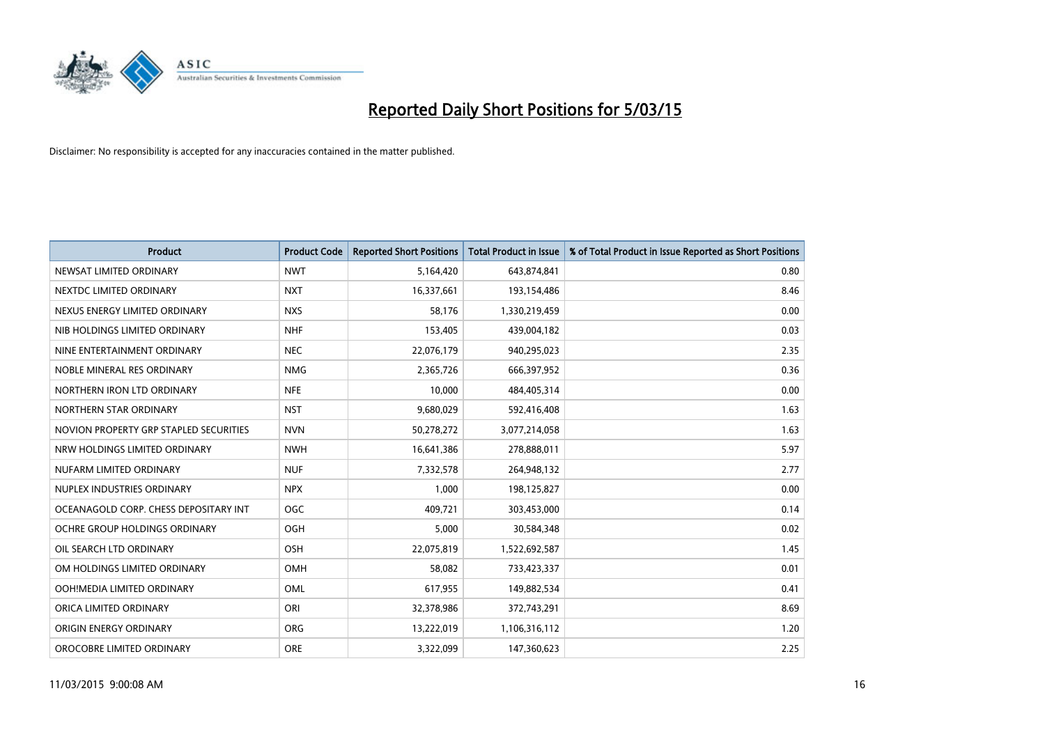

| <b>Product</b>                         | <b>Product Code</b> | <b>Reported Short Positions</b> | <b>Total Product in Issue</b> | % of Total Product in Issue Reported as Short Positions |
|----------------------------------------|---------------------|---------------------------------|-------------------------------|---------------------------------------------------------|
| NEWSAT LIMITED ORDINARY                | <b>NWT</b>          | 5,164,420                       | 643,874,841                   | 0.80                                                    |
| NEXTDC LIMITED ORDINARY                | <b>NXT</b>          | 16,337,661                      | 193,154,486                   | 8.46                                                    |
| NEXUS ENERGY LIMITED ORDINARY          | <b>NXS</b>          | 58,176                          | 1,330,219,459                 | 0.00                                                    |
| NIB HOLDINGS LIMITED ORDINARY          | <b>NHF</b>          | 153,405                         | 439,004,182                   | 0.03                                                    |
| NINE ENTERTAINMENT ORDINARY            | <b>NEC</b>          | 22,076,179                      | 940,295,023                   | 2.35                                                    |
| NOBLE MINERAL RES ORDINARY             | <b>NMG</b>          | 2,365,726                       | 666,397,952                   | 0.36                                                    |
| NORTHERN IRON LTD ORDINARY             | <b>NFE</b>          | 10,000                          | 484,405,314                   | 0.00                                                    |
| NORTHERN STAR ORDINARY                 | <b>NST</b>          | 9,680,029                       | 592,416,408                   | 1.63                                                    |
| NOVION PROPERTY GRP STAPLED SECURITIES | <b>NVN</b>          | 50,278,272                      | 3,077,214,058                 | 1.63                                                    |
| NRW HOLDINGS LIMITED ORDINARY          | <b>NWH</b>          | 16,641,386                      | 278,888,011                   | 5.97                                                    |
| NUFARM LIMITED ORDINARY                | <b>NUF</b>          | 7,332,578                       | 264,948,132                   | 2.77                                                    |
| NUPLEX INDUSTRIES ORDINARY             | <b>NPX</b>          | 1,000                           | 198,125,827                   | 0.00                                                    |
| OCEANAGOLD CORP. CHESS DEPOSITARY INT  | <b>OGC</b>          | 409,721                         | 303,453,000                   | 0.14                                                    |
| OCHRE GROUP HOLDINGS ORDINARY          | OGH                 | 5,000                           | 30,584,348                    | 0.02                                                    |
| OIL SEARCH LTD ORDINARY                | OSH                 | 22,075,819                      | 1,522,692,587                 | 1.45                                                    |
| OM HOLDINGS LIMITED ORDINARY           | OMH                 | 58,082                          | 733,423,337                   | 0.01                                                    |
| OOH!MEDIA LIMITED ORDINARY             | OML                 | 617,955                         | 149,882,534                   | 0.41                                                    |
| ORICA LIMITED ORDINARY                 | ORI                 | 32,378,986                      | 372,743,291                   | 8.69                                                    |
| ORIGIN ENERGY ORDINARY                 | <b>ORG</b>          | 13,222,019                      | 1,106,316,112                 | 1.20                                                    |
| OROCOBRE LIMITED ORDINARY              | <b>ORE</b>          | 3,322,099                       | 147,360,623                   | 2.25                                                    |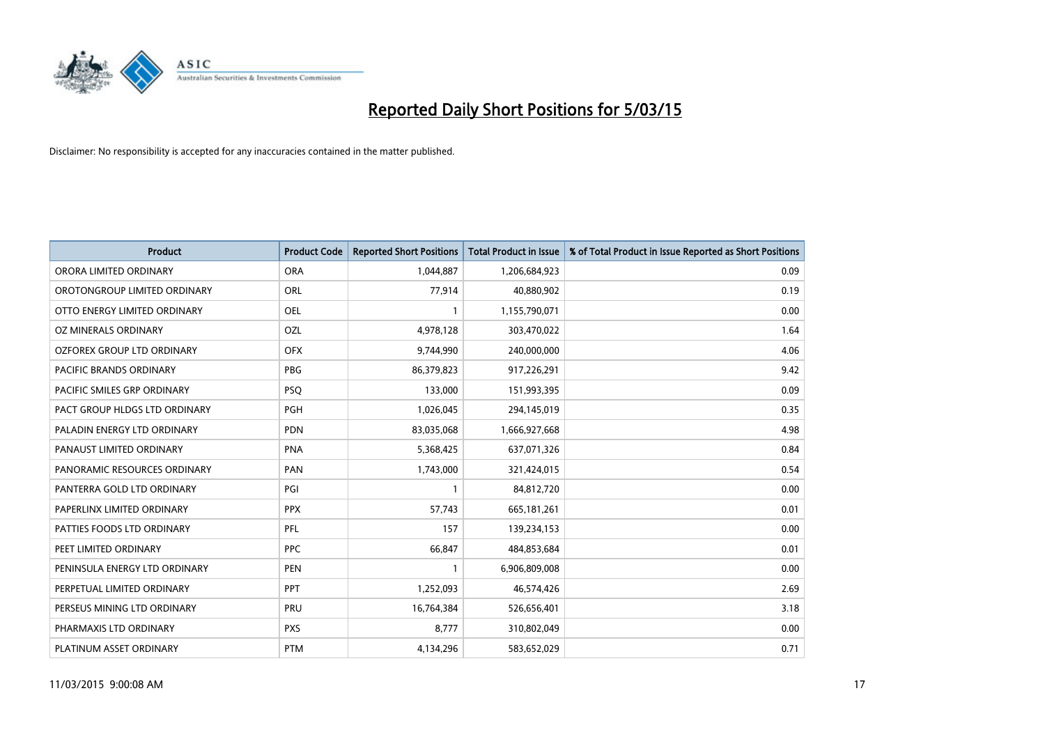

| <b>Product</b>                    | <b>Product Code</b> | <b>Reported Short Positions</b> | <b>Total Product in Issue</b> | % of Total Product in Issue Reported as Short Positions |
|-----------------------------------|---------------------|---------------------------------|-------------------------------|---------------------------------------------------------|
| ORORA LIMITED ORDINARY            | <b>ORA</b>          | 1,044,887                       | 1,206,684,923                 | 0.09                                                    |
| OROTONGROUP LIMITED ORDINARY      | ORL                 | 77,914                          | 40,880,902                    | 0.19                                                    |
| OTTO ENERGY LIMITED ORDINARY      | <b>OEL</b>          | 1                               | 1,155,790,071                 | 0.00                                                    |
| OZ MINERALS ORDINARY              | OZL                 | 4,978,128                       | 303,470,022                   | 1.64                                                    |
| <b>OZFOREX GROUP LTD ORDINARY</b> | <b>OFX</b>          | 9,744,990                       | 240,000,000                   | 4.06                                                    |
| PACIFIC BRANDS ORDINARY           | <b>PBG</b>          | 86,379,823                      | 917,226,291                   | 9.42                                                    |
| PACIFIC SMILES GRP ORDINARY       | <b>PSQ</b>          | 133,000                         | 151,993,395                   | 0.09                                                    |
| PACT GROUP HLDGS LTD ORDINARY     | <b>PGH</b>          | 1,026,045                       | 294,145,019                   | 0.35                                                    |
| PALADIN ENERGY LTD ORDINARY       | <b>PDN</b>          | 83,035,068                      | 1,666,927,668                 | 4.98                                                    |
| PANAUST LIMITED ORDINARY          | <b>PNA</b>          | 5,368,425                       | 637,071,326                   | 0.84                                                    |
| PANORAMIC RESOURCES ORDINARY      | PAN                 | 1,743,000                       | 321,424,015                   | 0.54                                                    |
| PANTERRA GOLD LTD ORDINARY        | PGI                 | 1                               | 84,812,720                    | 0.00                                                    |
| PAPERLINX LIMITED ORDINARY        | <b>PPX</b>          | 57,743                          | 665, 181, 261                 | 0.01                                                    |
| PATTIES FOODS LTD ORDINARY        | PFL                 | 157                             | 139,234,153                   | 0.00                                                    |
| PEET LIMITED ORDINARY             | <b>PPC</b>          | 66,847                          | 484,853,684                   | 0.01                                                    |
| PENINSULA ENERGY LTD ORDINARY     | <b>PEN</b>          |                                 | 6,906,809,008                 | 0.00                                                    |
| PERPETUAL LIMITED ORDINARY        | <b>PPT</b>          | 1,252,093                       | 46,574,426                    | 2.69                                                    |
| PERSEUS MINING LTD ORDINARY       | <b>PRU</b>          | 16,764,384                      | 526,656,401                   | 3.18                                                    |
| PHARMAXIS LTD ORDINARY            | <b>PXS</b>          | 8,777                           | 310,802,049                   | 0.00                                                    |
| PLATINUM ASSET ORDINARY           | <b>PTM</b>          | 4,134,296                       | 583,652,029                   | 0.71                                                    |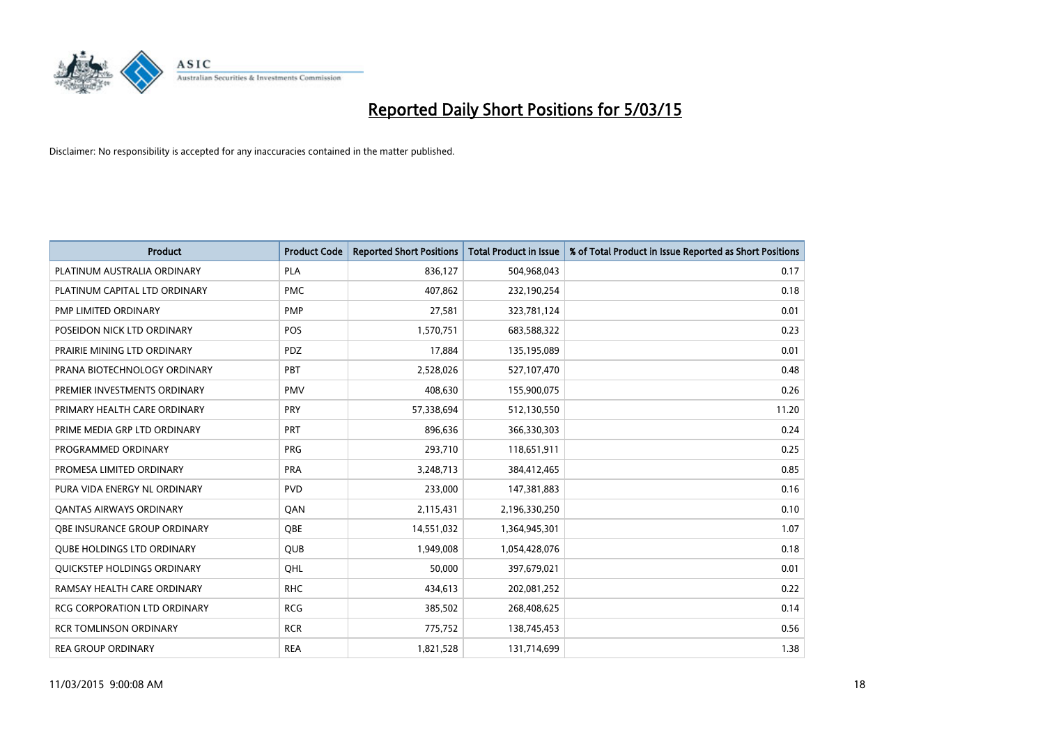

| <b>Product</b>                    | <b>Product Code</b> | <b>Reported Short Positions</b> | <b>Total Product in Issue</b> | % of Total Product in Issue Reported as Short Positions |
|-----------------------------------|---------------------|---------------------------------|-------------------------------|---------------------------------------------------------|
| PLATINUM AUSTRALIA ORDINARY       | <b>PLA</b>          | 836,127                         | 504,968,043                   | 0.17                                                    |
| PLATINUM CAPITAL LTD ORDINARY     | <b>PMC</b>          | 407,862                         | 232,190,254                   | 0.18                                                    |
| PMP LIMITED ORDINARY              | <b>PMP</b>          | 27,581                          | 323,781,124                   | 0.01                                                    |
| POSEIDON NICK LTD ORDINARY        | <b>POS</b>          | 1,570,751                       | 683,588,322                   | 0.23                                                    |
| PRAIRIE MINING LTD ORDINARY       | <b>PDZ</b>          | 17,884                          | 135,195,089                   | 0.01                                                    |
| PRANA BIOTECHNOLOGY ORDINARY      | PBT                 | 2,528,026                       | 527,107,470                   | 0.48                                                    |
| PREMIER INVESTMENTS ORDINARY      | <b>PMV</b>          | 408,630                         | 155,900,075                   | 0.26                                                    |
| PRIMARY HEALTH CARE ORDINARY      | <b>PRY</b>          | 57,338,694                      | 512,130,550                   | 11.20                                                   |
| PRIME MEDIA GRP LTD ORDINARY      | <b>PRT</b>          | 896,636                         | 366,330,303                   | 0.24                                                    |
| PROGRAMMED ORDINARY               | <b>PRG</b>          | 293,710                         | 118,651,911                   | 0.25                                                    |
| PROMESA LIMITED ORDINARY          | <b>PRA</b>          | 3,248,713                       | 384,412,465                   | 0.85                                                    |
| PURA VIDA ENERGY NL ORDINARY      | <b>PVD</b>          | 233,000                         | 147,381,883                   | 0.16                                                    |
| <b>QANTAS AIRWAYS ORDINARY</b>    | QAN                 | 2,115,431                       | 2,196,330,250                 | 0.10                                                    |
| OBE INSURANCE GROUP ORDINARY      | <b>OBE</b>          | 14,551,032                      | 1,364,945,301                 | 1.07                                                    |
| <b>QUBE HOLDINGS LTD ORDINARY</b> | <b>QUB</b>          | 1,949,008                       | 1,054,428,076                 | 0.18                                                    |
| QUICKSTEP HOLDINGS ORDINARY       | OHL                 | 50,000                          | 397,679,021                   | 0.01                                                    |
| RAMSAY HEALTH CARE ORDINARY       | <b>RHC</b>          | 434,613                         | 202,081,252                   | 0.22                                                    |
| RCG CORPORATION LTD ORDINARY      | <b>RCG</b>          | 385,502                         | 268,408,625                   | 0.14                                                    |
| <b>RCR TOMLINSON ORDINARY</b>     | <b>RCR</b>          | 775,752                         | 138,745,453                   | 0.56                                                    |
| <b>REA GROUP ORDINARY</b>         | <b>REA</b>          | 1,821,528                       | 131,714,699                   | 1.38                                                    |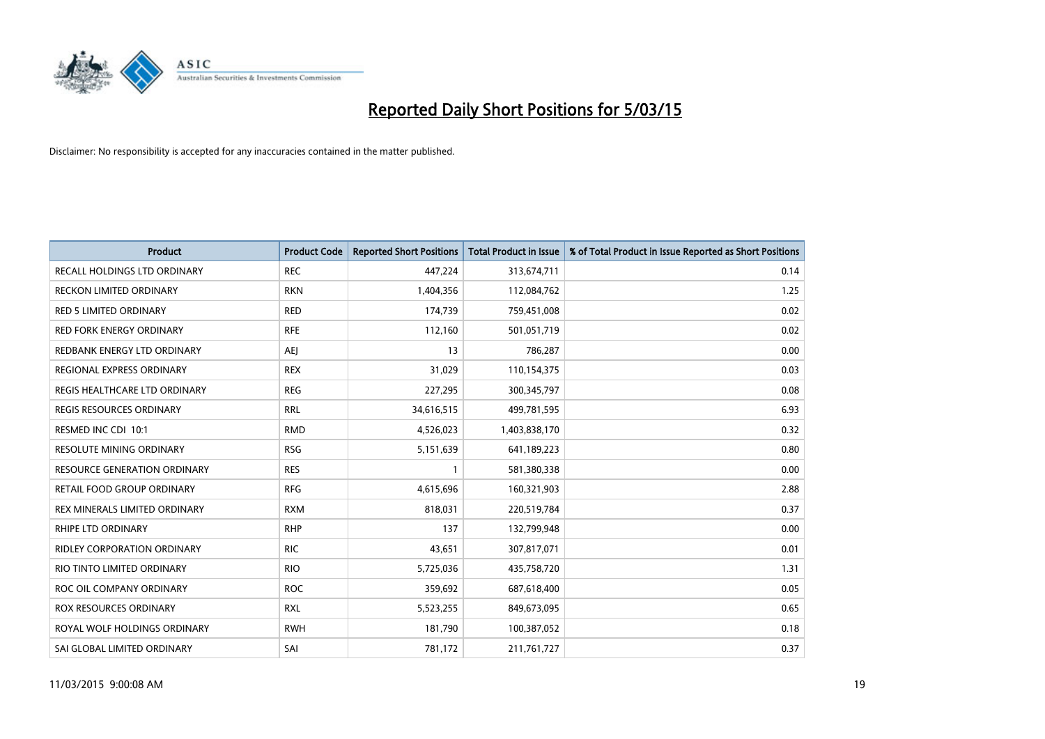

| Product                            | <b>Product Code</b> | <b>Reported Short Positions</b> | <b>Total Product in Issue</b> | % of Total Product in Issue Reported as Short Positions |
|------------------------------------|---------------------|---------------------------------|-------------------------------|---------------------------------------------------------|
| RECALL HOLDINGS LTD ORDINARY       | <b>REC</b>          | 447,224                         | 313,674,711                   | 0.14                                                    |
| RECKON LIMITED ORDINARY            | <b>RKN</b>          | 1,404,356                       | 112,084,762                   | 1.25                                                    |
| RED 5 LIMITED ORDINARY             | <b>RED</b>          | 174,739                         | 759,451,008                   | 0.02                                                    |
| <b>RED FORK ENERGY ORDINARY</b>    | <b>RFE</b>          | 112,160                         | 501,051,719                   | 0.02                                                    |
| REDBANK ENERGY LTD ORDINARY        | <b>AEJ</b>          | 13                              | 786,287                       | 0.00                                                    |
| REGIONAL EXPRESS ORDINARY          | <b>REX</b>          | 31,029                          | 110,154,375                   | 0.03                                                    |
| REGIS HEALTHCARE LTD ORDINARY      | <b>REG</b>          | 227,295                         | 300, 345, 797                 | 0.08                                                    |
| REGIS RESOURCES ORDINARY           | <b>RRL</b>          | 34,616,515                      | 499,781,595                   | 6.93                                                    |
| RESMED INC CDI 10:1                | <b>RMD</b>          | 4,526,023                       | 1,403,838,170                 | 0.32                                                    |
| <b>RESOLUTE MINING ORDINARY</b>    | <b>RSG</b>          | 5,151,639                       | 641,189,223                   | 0.80                                                    |
| RESOURCE GENERATION ORDINARY       | <b>RES</b>          | 1                               | 581,380,338                   | 0.00                                                    |
| RETAIL FOOD GROUP ORDINARY         | <b>RFG</b>          | 4,615,696                       | 160,321,903                   | 2.88                                                    |
| REX MINERALS LIMITED ORDINARY      | <b>RXM</b>          | 818,031                         | 220,519,784                   | 0.37                                                    |
| <b>RHIPE LTD ORDINARY</b>          | <b>RHP</b>          | 137                             | 132,799,948                   | 0.00                                                    |
| <b>RIDLEY CORPORATION ORDINARY</b> | <b>RIC</b>          | 43,651                          | 307,817,071                   | 0.01                                                    |
| RIO TINTO LIMITED ORDINARY         | <b>RIO</b>          | 5,725,036                       | 435,758,720                   | 1.31                                                    |
| ROC OIL COMPANY ORDINARY           | <b>ROC</b>          | 359,692                         | 687,618,400                   | 0.05                                                    |
| ROX RESOURCES ORDINARY             | <b>RXL</b>          | 5,523,255                       | 849,673,095                   | 0.65                                                    |
| ROYAL WOLF HOLDINGS ORDINARY       | <b>RWH</b>          | 181,790                         | 100,387,052                   | 0.18                                                    |
| SAI GLOBAL LIMITED ORDINARY        | SAI                 | 781,172                         | 211,761,727                   | 0.37                                                    |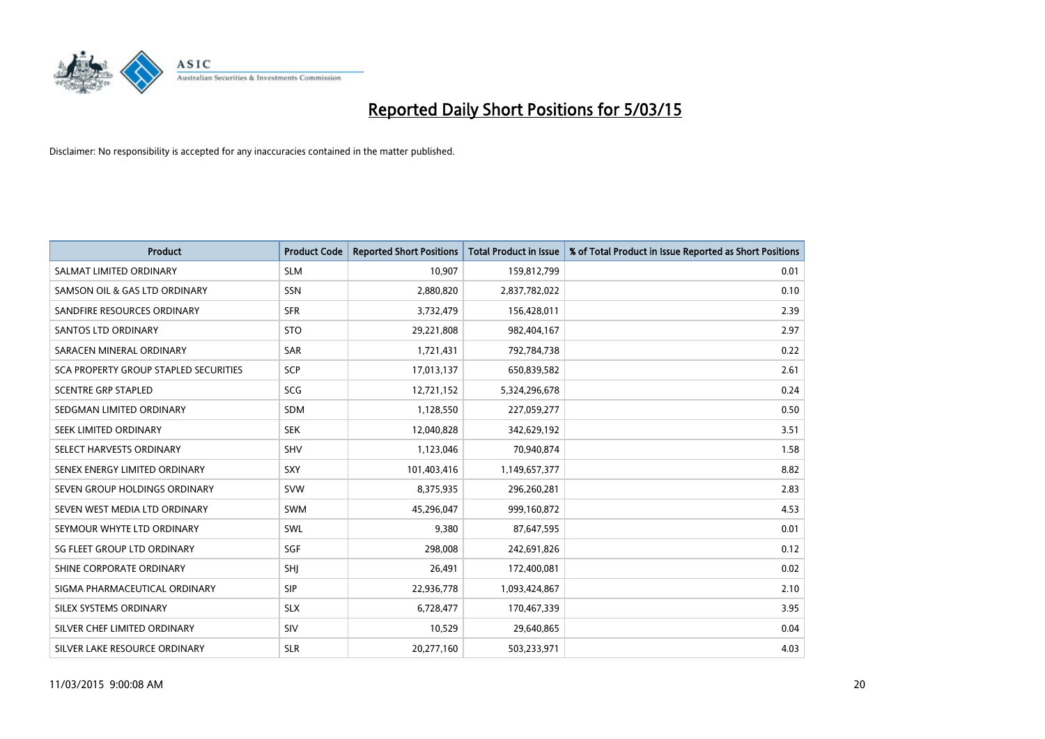

| <b>Product</b>                        | <b>Product Code</b> | <b>Reported Short Positions</b> | <b>Total Product in Issue</b> | % of Total Product in Issue Reported as Short Positions |
|---------------------------------------|---------------------|---------------------------------|-------------------------------|---------------------------------------------------------|
| SALMAT LIMITED ORDINARY               | <b>SLM</b>          | 10,907                          | 159,812,799                   | 0.01                                                    |
| SAMSON OIL & GAS LTD ORDINARY         | SSN                 | 2,880,820                       | 2,837,782,022                 | 0.10                                                    |
| SANDFIRE RESOURCES ORDINARY           | <b>SFR</b>          | 3,732,479                       | 156,428,011                   | 2.39                                                    |
| SANTOS LTD ORDINARY                   | <b>STO</b>          | 29,221,808                      | 982,404,167                   | 2.97                                                    |
| SARACEN MINERAL ORDINARY              | <b>SAR</b>          | 1,721,431                       | 792,784,738                   | 0.22                                                    |
| SCA PROPERTY GROUP STAPLED SECURITIES | SCP                 | 17,013,137                      | 650,839,582                   | 2.61                                                    |
| <b>SCENTRE GRP STAPLED</b>            | <b>SCG</b>          | 12,721,152                      | 5,324,296,678                 | 0.24                                                    |
| SEDGMAN LIMITED ORDINARY              | <b>SDM</b>          | 1,128,550                       | 227,059,277                   | 0.50                                                    |
| SEEK LIMITED ORDINARY                 | <b>SEK</b>          | 12,040,828                      | 342,629,192                   | 3.51                                                    |
| SELECT HARVESTS ORDINARY              | <b>SHV</b>          | 1,123,046                       | 70,940,874                    | 1.58                                                    |
| SENEX ENERGY LIMITED ORDINARY         | <b>SXY</b>          | 101,403,416                     | 1,149,657,377                 | 8.82                                                    |
| SEVEN GROUP HOLDINGS ORDINARY         | <b>SVW</b>          | 8,375,935                       | 296,260,281                   | 2.83                                                    |
| SEVEN WEST MEDIA LTD ORDINARY         | SWM                 | 45,296,047                      | 999,160,872                   | 4.53                                                    |
| SEYMOUR WHYTE LTD ORDINARY            | SWL                 | 9,380                           | 87,647,595                    | 0.01                                                    |
| SG FLEET GROUP LTD ORDINARY           | SGF                 | 298,008                         | 242,691,826                   | 0.12                                                    |
| SHINE CORPORATE ORDINARY              | SHI                 | 26,491                          | 172,400,081                   | 0.02                                                    |
| SIGMA PHARMACEUTICAL ORDINARY         | <b>SIP</b>          | 22,936,778                      | 1,093,424,867                 | 2.10                                                    |
| SILEX SYSTEMS ORDINARY                | <b>SLX</b>          | 6,728,477                       | 170,467,339                   | 3.95                                                    |
| SILVER CHEF LIMITED ORDINARY          | SIV                 | 10,529                          | 29,640,865                    | 0.04                                                    |
| SILVER LAKE RESOURCE ORDINARY         | <b>SLR</b>          | 20,277,160                      | 503,233,971                   | 4.03                                                    |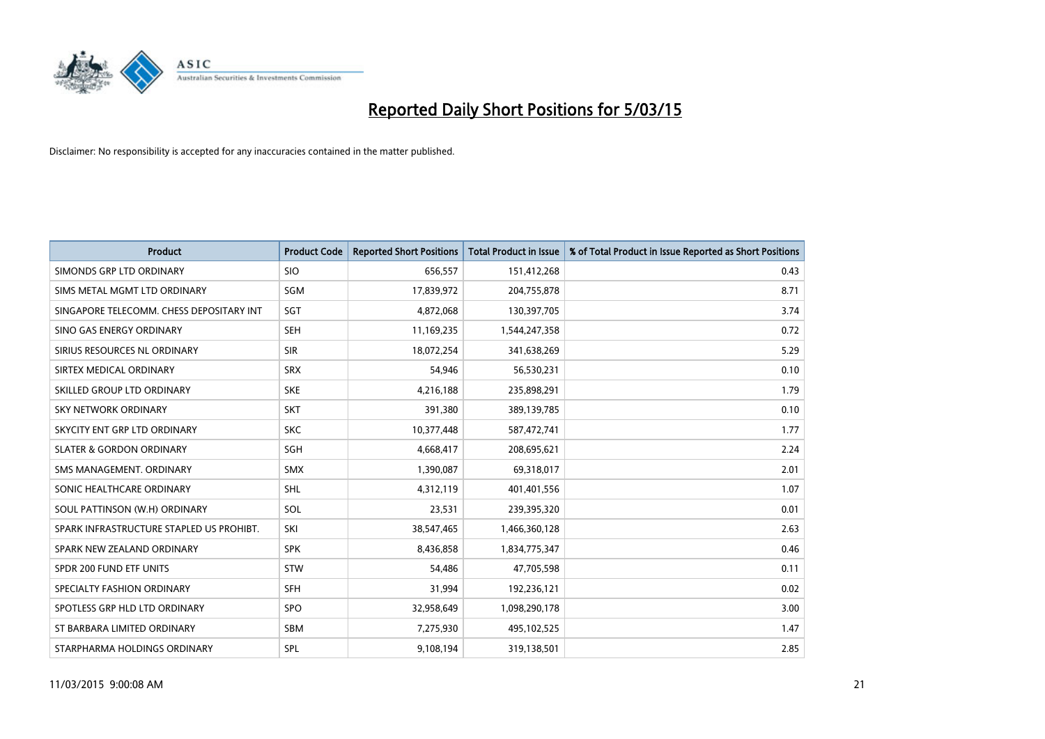

| <b>Product</b>                           | <b>Product Code</b> | <b>Reported Short Positions</b> | <b>Total Product in Issue</b> | % of Total Product in Issue Reported as Short Positions |
|------------------------------------------|---------------------|---------------------------------|-------------------------------|---------------------------------------------------------|
| SIMONDS GRP LTD ORDINARY                 | <b>SIO</b>          | 656,557                         | 151,412,268                   | 0.43                                                    |
| SIMS METAL MGMT LTD ORDINARY             | SGM                 | 17,839,972                      | 204,755,878                   | 8.71                                                    |
| SINGAPORE TELECOMM. CHESS DEPOSITARY INT | SGT                 | 4,872,068                       | 130,397,705                   | 3.74                                                    |
| SINO GAS ENERGY ORDINARY                 | <b>SEH</b>          | 11,169,235                      | 1,544,247,358                 | 0.72                                                    |
| SIRIUS RESOURCES NL ORDINARY             | <b>SIR</b>          | 18,072,254                      | 341,638,269                   | 5.29                                                    |
| SIRTEX MEDICAL ORDINARY                  | <b>SRX</b>          | 54,946                          | 56,530,231                    | 0.10                                                    |
| SKILLED GROUP LTD ORDINARY               | <b>SKE</b>          | 4,216,188                       | 235,898,291                   | 1.79                                                    |
| SKY NETWORK ORDINARY                     | <b>SKT</b>          | 391,380                         | 389,139,785                   | 0.10                                                    |
| SKYCITY ENT GRP LTD ORDINARY             | <b>SKC</b>          | 10,377,448                      | 587,472,741                   | 1.77                                                    |
| <b>SLATER &amp; GORDON ORDINARY</b>      | SGH                 | 4,668,417                       | 208,695,621                   | 2.24                                                    |
| SMS MANAGEMENT. ORDINARY                 | SMX                 | 1,390,087                       | 69,318,017                    | 2.01                                                    |
| SONIC HEALTHCARE ORDINARY                | SHL                 | 4,312,119                       | 401,401,556                   | 1.07                                                    |
| SOUL PATTINSON (W.H) ORDINARY            | SOL                 | 23,531                          | 239,395,320                   | 0.01                                                    |
| SPARK INFRASTRUCTURE STAPLED US PROHIBT. | SKI                 | 38,547,465                      | 1,466,360,128                 | 2.63                                                    |
| SPARK NEW ZEALAND ORDINARY               | <b>SPK</b>          | 8,436,858                       | 1,834,775,347                 | 0.46                                                    |
| SPDR 200 FUND ETF UNITS                  | <b>STW</b>          | 54.486                          | 47,705,598                    | 0.11                                                    |
| SPECIALTY FASHION ORDINARY               | <b>SFH</b>          | 31,994                          | 192,236,121                   | 0.02                                                    |
| SPOTLESS GRP HLD LTD ORDINARY            | <b>SPO</b>          | 32,958,649                      | 1,098,290,178                 | 3.00                                                    |
| ST BARBARA LIMITED ORDINARY              | <b>SBM</b>          | 7,275,930                       | 495,102,525                   | 1.47                                                    |
| STARPHARMA HOLDINGS ORDINARY             | SPL                 | 9,108,194                       | 319,138,501                   | 2.85                                                    |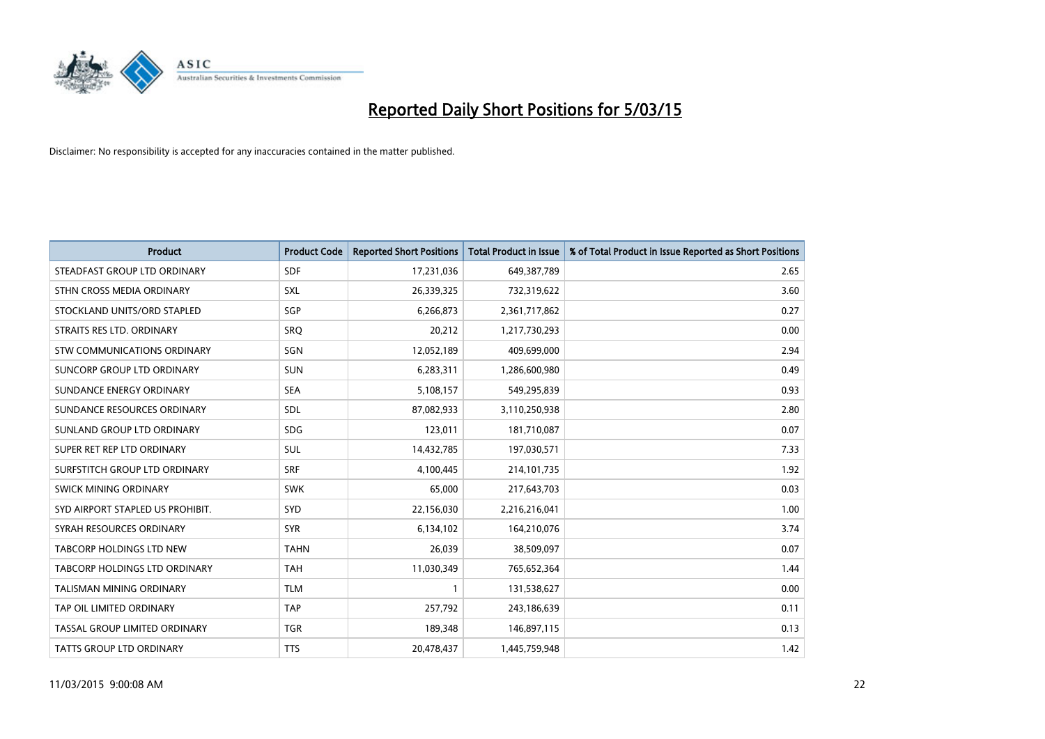

| <b>Product</b>                   | <b>Product Code</b> | <b>Reported Short Positions</b> | <b>Total Product in Issue</b> | % of Total Product in Issue Reported as Short Positions |
|----------------------------------|---------------------|---------------------------------|-------------------------------|---------------------------------------------------------|
| STEADFAST GROUP LTD ORDINARY     | <b>SDF</b>          | 17,231,036                      | 649,387,789                   | 2.65                                                    |
| STHN CROSS MEDIA ORDINARY        | <b>SXL</b>          | 26,339,325                      | 732,319,622                   | 3.60                                                    |
| STOCKLAND UNITS/ORD STAPLED      | SGP                 | 6,266,873                       | 2,361,717,862                 | 0.27                                                    |
| STRAITS RES LTD. ORDINARY        | <b>SRQ</b>          | 20,212                          | 1,217,730,293                 | 0.00                                                    |
| STW COMMUNICATIONS ORDINARY      | SGN                 | 12,052,189                      | 409,699,000                   | 2.94                                                    |
| SUNCORP GROUP LTD ORDINARY       | <b>SUN</b>          | 6,283,311                       | 1,286,600,980                 | 0.49                                                    |
| SUNDANCE ENERGY ORDINARY         | <b>SEA</b>          | 5,108,157                       | 549,295,839                   | 0.93                                                    |
| SUNDANCE RESOURCES ORDINARY      | SDL                 | 87,082,933                      | 3,110,250,938                 | 2.80                                                    |
| SUNLAND GROUP LTD ORDINARY       | <b>SDG</b>          | 123,011                         | 181,710,087                   | 0.07                                                    |
| SUPER RET REP LTD ORDINARY       | <b>SUL</b>          | 14,432,785                      | 197,030,571                   | 7.33                                                    |
| SURFSTITCH GROUP LTD ORDINARY    | <b>SRF</b>          | 4,100,445                       | 214,101,735                   | 1.92                                                    |
| <b>SWICK MINING ORDINARY</b>     | <b>SWK</b>          | 65,000                          | 217,643,703                   | 0.03                                                    |
| SYD AIRPORT STAPLED US PROHIBIT. | <b>SYD</b>          | 22,156,030                      | 2,216,216,041                 | 1.00                                                    |
| SYRAH RESOURCES ORDINARY         | <b>SYR</b>          | 6,134,102                       | 164,210,076                   | 3.74                                                    |
| <b>TABCORP HOLDINGS LTD NEW</b>  | <b>TAHN</b>         | 26,039                          | 38,509,097                    | 0.07                                                    |
| TABCORP HOLDINGS LTD ORDINARY    | <b>TAH</b>          | 11,030,349                      | 765,652,364                   | 1.44                                                    |
| TALISMAN MINING ORDINARY         | <b>TLM</b>          | $\mathbf{1}$                    | 131,538,627                   | 0.00                                                    |
| TAP OIL LIMITED ORDINARY         | <b>TAP</b>          | 257,792                         | 243,186,639                   | 0.11                                                    |
| TASSAL GROUP LIMITED ORDINARY    | <b>TGR</b>          | 189,348                         | 146,897,115                   | 0.13                                                    |
| TATTS GROUP LTD ORDINARY         | <b>TTS</b>          | 20,478,437                      | 1,445,759,948                 | 1.42                                                    |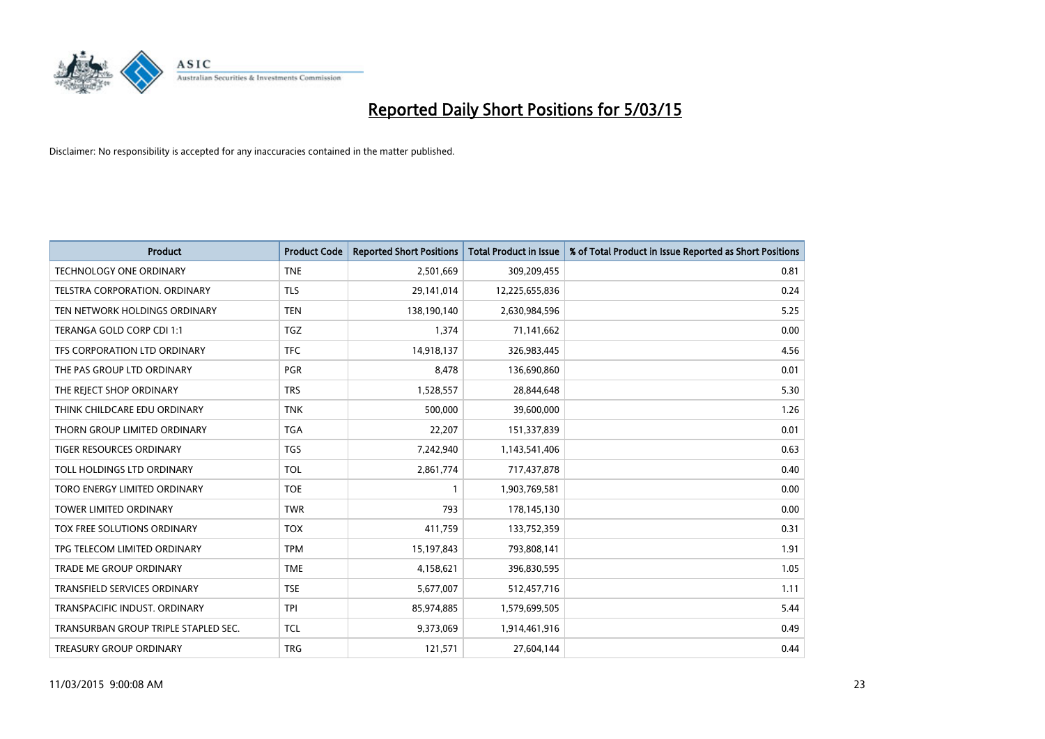

| <b>Product</b>                       | <b>Product Code</b> | <b>Reported Short Positions</b> | <b>Total Product in Issue</b> | % of Total Product in Issue Reported as Short Positions |
|--------------------------------------|---------------------|---------------------------------|-------------------------------|---------------------------------------------------------|
| <b>TECHNOLOGY ONE ORDINARY</b>       | <b>TNE</b>          | 2,501,669                       | 309,209,455                   | 0.81                                                    |
| TELSTRA CORPORATION, ORDINARY        | <b>TLS</b>          | 29,141,014                      | 12,225,655,836                | 0.24                                                    |
| TEN NETWORK HOLDINGS ORDINARY        | <b>TEN</b>          | 138,190,140                     | 2,630,984,596                 | 5.25                                                    |
| TERANGA GOLD CORP CDI 1:1            | <b>TGZ</b>          | 1,374                           | 71,141,662                    | 0.00                                                    |
| TFS CORPORATION LTD ORDINARY         | <b>TFC</b>          | 14,918,137                      | 326,983,445                   | 4.56                                                    |
| THE PAS GROUP LTD ORDINARY           | <b>PGR</b>          | 8,478                           | 136,690,860                   | 0.01                                                    |
| THE REJECT SHOP ORDINARY             | <b>TRS</b>          | 1,528,557                       | 28,844,648                    | 5.30                                                    |
| THINK CHILDCARE EDU ORDINARY         | <b>TNK</b>          | 500,000                         | 39,600,000                    | 1.26                                                    |
| THORN GROUP LIMITED ORDINARY         | <b>TGA</b>          | 22,207                          | 151,337,839                   | 0.01                                                    |
| <b>TIGER RESOURCES ORDINARY</b>      | <b>TGS</b>          | 7,242,940                       | 1,143,541,406                 | 0.63                                                    |
| TOLL HOLDINGS LTD ORDINARY           | <b>TOL</b>          | 2,861,774                       | 717,437,878                   | 0.40                                                    |
| TORO ENERGY LIMITED ORDINARY         | <b>TOE</b>          |                                 | 1,903,769,581                 | 0.00                                                    |
| <b>TOWER LIMITED ORDINARY</b>        | <b>TWR</b>          | 793                             | 178,145,130                   | 0.00                                                    |
| <b>TOX FREE SOLUTIONS ORDINARY</b>   | <b>TOX</b>          | 411,759                         | 133,752,359                   | 0.31                                                    |
| TPG TELECOM LIMITED ORDINARY         | <b>TPM</b>          | 15,197,843                      | 793,808,141                   | 1.91                                                    |
| TRADE ME GROUP ORDINARY              | <b>TME</b>          | 4,158,621                       | 396,830,595                   | 1.05                                                    |
| TRANSFIELD SERVICES ORDINARY         | <b>TSE</b>          | 5,677,007                       | 512,457,716                   | 1.11                                                    |
| TRANSPACIFIC INDUST. ORDINARY        | <b>TPI</b>          | 85,974,885                      | 1,579,699,505                 | 5.44                                                    |
| TRANSURBAN GROUP TRIPLE STAPLED SEC. | <b>TCL</b>          | 9,373,069                       | 1,914,461,916                 | 0.49                                                    |
| <b>TREASURY GROUP ORDINARY</b>       | <b>TRG</b>          | 121,571                         | 27,604,144                    | 0.44                                                    |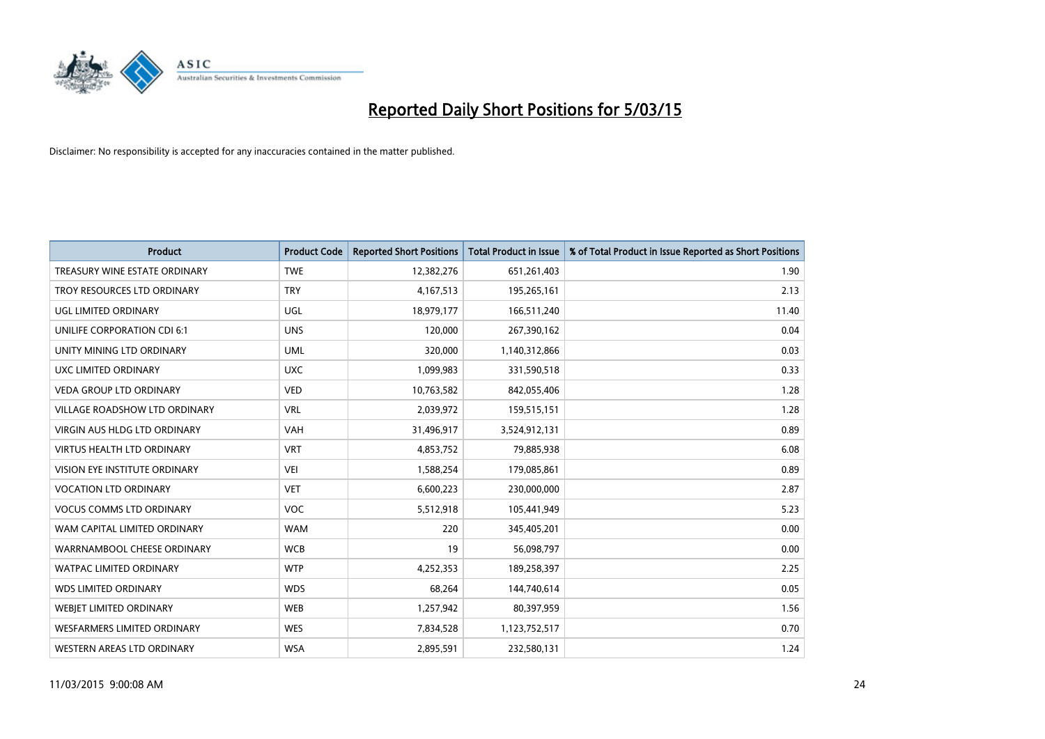

| <b>Product</b>                    | <b>Product Code</b> | <b>Reported Short Positions</b> | <b>Total Product in Issue</b> | % of Total Product in Issue Reported as Short Positions |
|-----------------------------------|---------------------|---------------------------------|-------------------------------|---------------------------------------------------------|
| TREASURY WINE ESTATE ORDINARY     | <b>TWE</b>          | 12,382,276                      | 651,261,403                   | 1.90                                                    |
| TROY RESOURCES LTD ORDINARY       | <b>TRY</b>          | 4,167,513                       | 195,265,161                   | 2.13                                                    |
| UGL LIMITED ORDINARY              | UGL                 | 18,979,177                      | 166,511,240                   | 11.40                                                   |
| UNILIFE CORPORATION CDI 6:1       | <b>UNS</b>          | 120,000                         | 267,390,162                   | 0.04                                                    |
| UNITY MINING LTD ORDINARY         | <b>UML</b>          | 320,000                         | 1,140,312,866                 | 0.03                                                    |
| <b>UXC LIMITED ORDINARY</b>       | <b>UXC</b>          | 1,099,983                       | 331,590,518                   | 0.33                                                    |
| <b>VEDA GROUP LTD ORDINARY</b>    | <b>VED</b>          | 10,763,582                      | 842,055,406                   | 1.28                                                    |
| VILLAGE ROADSHOW LTD ORDINARY     | <b>VRL</b>          | 2,039,972                       | 159,515,151                   | 1.28                                                    |
| VIRGIN AUS HLDG LTD ORDINARY      | <b>VAH</b>          | 31,496,917                      | 3,524,912,131                 | 0.89                                                    |
| <b>VIRTUS HEALTH LTD ORDINARY</b> | <b>VRT</b>          | 4,853,752                       | 79,885,938                    | 6.08                                                    |
| VISION EYE INSTITUTE ORDINARY     | <b>VEI</b>          | 1,588,254                       | 179,085,861                   | 0.89                                                    |
| <b>VOCATION LTD ORDINARY</b>      | <b>VET</b>          | 6,600,223                       | 230,000,000                   | 2.87                                                    |
| <b>VOCUS COMMS LTD ORDINARY</b>   | <b>VOC</b>          | 5,512,918                       | 105,441,949                   | 5.23                                                    |
| WAM CAPITAL LIMITED ORDINARY      | <b>WAM</b>          | 220                             | 345,405,201                   | 0.00                                                    |
| WARRNAMBOOL CHEESE ORDINARY       | <b>WCB</b>          | 19                              | 56,098,797                    | 0.00                                                    |
| WATPAC LIMITED ORDINARY           | <b>WTP</b>          | 4,252,353                       | 189,258,397                   | 2.25                                                    |
| <b>WDS LIMITED ORDINARY</b>       | <b>WDS</b>          | 68,264                          | 144,740,614                   | 0.05                                                    |
| WEBJET LIMITED ORDINARY           | <b>WEB</b>          | 1,257,942                       | 80,397,959                    | 1.56                                                    |
| WESFARMERS LIMITED ORDINARY       | <b>WES</b>          | 7,834,528                       | 1,123,752,517                 | 0.70                                                    |
| WESTERN AREAS LTD ORDINARY        | <b>WSA</b>          | 2,895,591                       | 232,580,131                   | 1.24                                                    |